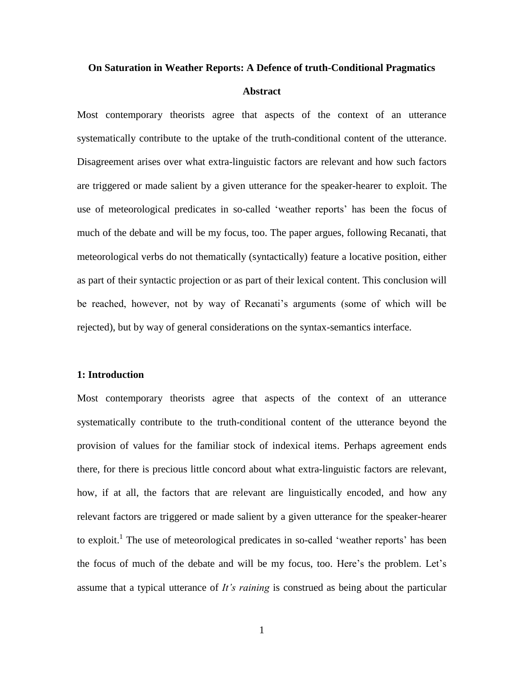# **On Saturation in Weather Reports: A Defence of truth-Conditional Pragmatics**

### **Abstract**

Most contemporary theorists agree that aspects of the context of an utterance systematically contribute to the uptake of the truth-conditional content of the utterance. Disagreement arises over what extra-linguistic factors are relevant and how such factors are triggered or made salient by a given utterance for the speaker-hearer to exploit. The use of meteorological predicates in so-called 'weather reports' has been the focus of much of the debate and will be my focus, too. The paper argues, following Recanati, that meteorological verbs do not thematically (syntactically) feature a locative position, either as part of their syntactic projection or as part of their lexical content. This conclusion will be reached, however, not by way of Recanati's arguments (some of which will be rejected), but by way of general considerations on the syntax-semantics interface.

### **1: Introduction**

Most contemporary theorists agree that aspects of the context of an utterance systematically contribute to the truth-conditional content of the utterance beyond the provision of values for the familiar stock of indexical items. Perhaps agreement ends there, for there is precious little concord about what extra-linguistic factors are relevant, how, if at all, the factors that are relevant are linguistically encoded, and how any relevant factors are triggered or made salient by a given utterance for the speaker-hearer to exploit.<sup>1</sup> The use of meteorological predicates in so-called 'weather reports' has been the focus of much of the debate and will be my focus, too. Here's the problem. Let's assume that a typical utterance of *It's raining* is construed as being about the particular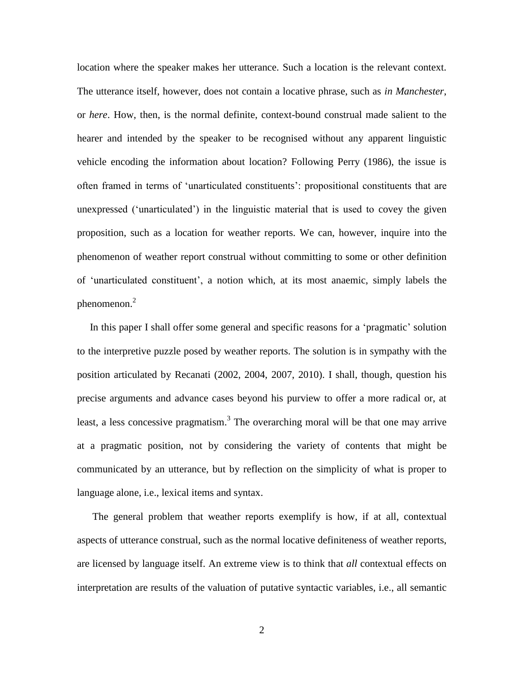location where the speaker makes her utterance. Such a location is the relevant context. The utterance itself, however, does not contain a locative phrase, such as *in Manchester*, or *here*. How, then, is the normal definite, context-bound construal made salient to the hearer and intended by the speaker to be recognised without any apparent linguistic vehicle encoding the information about location? Following Perry (1986), the issue is often framed in terms of 'unarticulated constituents': propositional constituents that are unexpressed ('unarticulated') in the linguistic material that is used to covey the given proposition, such as a location for weather reports. We can, however, inquire into the phenomenon of weather report construal without committing to some or other definition of 'unarticulated constituent', a notion which, at its most anaemic, simply labels the phenomenon.<sup>2</sup>

 In this paper I shall offer some general and specific reasons for a 'pragmatic' solution to the interpretive puzzle posed by weather reports. The solution is in sympathy with the position articulated by Recanati (2002, 2004, 2007, 2010). I shall, though, question his precise arguments and advance cases beyond his purview to offer a more radical or, at least, a less concessive pragmatism.<sup>3</sup> The overarching moral will be that one may arrive at a pragmatic position, not by considering the variety of contents that might be communicated by an utterance, but by reflection on the simplicity of what is proper to language alone, i.e., lexical items and syntax.

 The general problem that weather reports exemplify is how, if at all, contextual aspects of utterance construal, such as the normal locative definiteness of weather reports, are licensed by language itself. An extreme view is to think that *all* contextual effects on interpretation are results of the valuation of putative syntactic variables, i.e., all semantic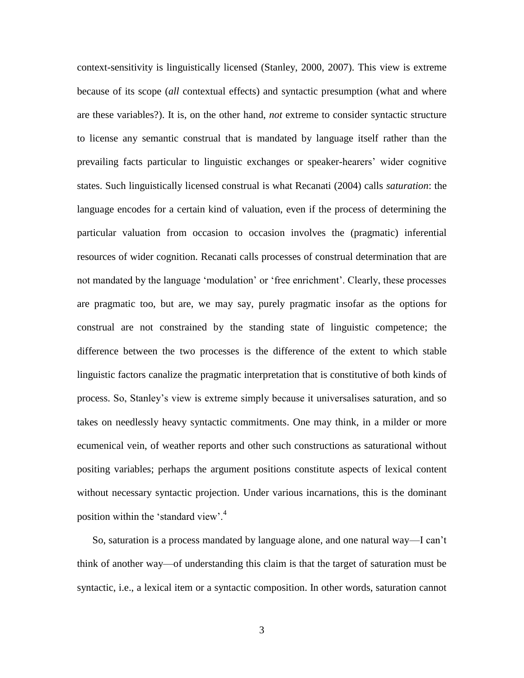context-sensitivity is linguistically licensed (Stanley, 2000, 2007). This view is extreme because of its scope (*all* contextual effects) and syntactic presumption (what and where are these variables?). It is, on the other hand, *not* extreme to consider syntactic structure to license any semantic construal that is mandated by language itself rather than the prevailing facts particular to linguistic exchanges or speaker-hearers' wider cognitive states. Such linguistically licensed construal is what Recanati (2004) calls *saturation*: the language encodes for a certain kind of valuation, even if the process of determining the particular valuation from occasion to occasion involves the (pragmatic) inferential resources of wider cognition. Recanati calls processes of construal determination that are not mandated by the language 'modulation' or 'free enrichment'. Clearly, these processes are pragmatic too, but are, we may say, purely pragmatic insofar as the options for construal are not constrained by the standing state of linguistic competence; the difference between the two processes is the difference of the extent to which stable linguistic factors canalize the pragmatic interpretation that is constitutive of both kinds of process. So, Stanley's view is extreme simply because it universalises saturation, and so takes on needlessly heavy syntactic commitments. One may think, in a milder or more ecumenical vein, of weather reports and other such constructions as saturational without positing variables; perhaps the argument positions constitute aspects of lexical content without necessary syntactic projection. Under various incarnations, this is the dominant position within the 'standard view'.<sup>4</sup>

 So, saturation is a process mandated by language alone, and one natural way—I can't think of another way—of understanding this claim is that the target of saturation must be syntactic, i.e., a lexical item or a syntactic composition. In other words, saturation cannot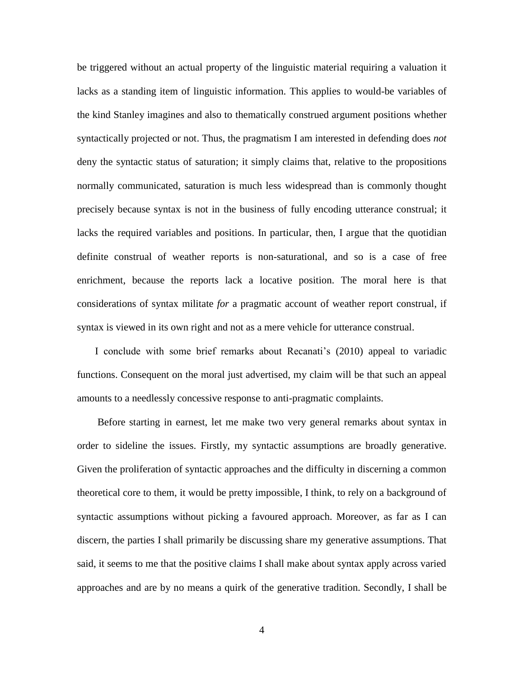be triggered without an actual property of the linguistic material requiring a valuation it lacks as a standing item of linguistic information. This applies to would-be variables of the kind Stanley imagines and also to thematically construed argument positions whether syntactically projected or not. Thus, the pragmatism I am interested in defending does *not* deny the syntactic status of saturation; it simply claims that, relative to the propositions normally communicated, saturation is much less widespread than is commonly thought precisely because syntax is not in the business of fully encoding utterance construal; it lacks the required variables and positions. In particular, then, I argue that the quotidian definite construal of weather reports is non-saturational, and so is a case of free enrichment, because the reports lack a locative position. The moral here is that considerations of syntax militate *for* a pragmatic account of weather report construal, if syntax is viewed in its own right and not as a mere vehicle for utterance construal.

 I conclude with some brief remarks about Recanati's (2010) appeal to variadic functions. Consequent on the moral just advertised, my claim will be that such an appeal amounts to a needlessly concessive response to anti-pragmatic complaints.

 Before starting in earnest, let me make two very general remarks about syntax in order to sideline the issues. Firstly, my syntactic assumptions are broadly generative. Given the proliferation of syntactic approaches and the difficulty in discerning a common theoretical core to them, it would be pretty impossible, I think, to rely on a background of syntactic assumptions without picking a favoured approach. Moreover, as far as I can discern, the parties I shall primarily be discussing share my generative assumptions. That said, it seems to me that the positive claims I shall make about syntax apply across varied approaches and are by no means a quirk of the generative tradition. Secondly, I shall be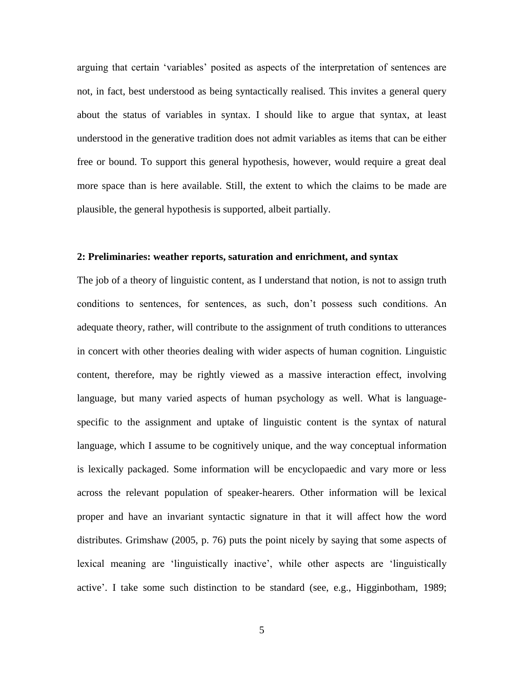arguing that certain 'variables' posited as aspects of the interpretation of sentences are not, in fact, best understood as being syntactically realised. This invites a general query about the status of variables in syntax. I should like to argue that syntax, at least understood in the generative tradition does not admit variables as items that can be either free or bound. To support this general hypothesis, however, would require a great deal more space than is here available. Still, the extent to which the claims to be made are plausible, the general hypothesis is supported, albeit partially.

## **2: Preliminaries: weather reports, saturation and enrichment, and syntax**

The job of a theory of linguistic content, as I understand that notion, is not to assign truth conditions to sentences, for sentences, as such, don't possess such conditions. An adequate theory, rather, will contribute to the assignment of truth conditions to utterances in concert with other theories dealing with wider aspects of human cognition. Linguistic content, therefore, may be rightly viewed as a massive interaction effect, involving language, but many varied aspects of human psychology as well. What is languagespecific to the assignment and uptake of linguistic content is the syntax of natural language, which I assume to be cognitively unique, and the way conceptual information is lexically packaged. Some information will be encyclopaedic and vary more or less across the relevant population of speaker-hearers. Other information will be lexical proper and have an invariant syntactic signature in that it will affect how the word distributes. Grimshaw (2005, p. 76) puts the point nicely by saying that some aspects of lexical meaning are 'linguistically inactive', while other aspects are 'linguistically active'. I take some such distinction to be standard (see, e.g., Higginbotham, 1989;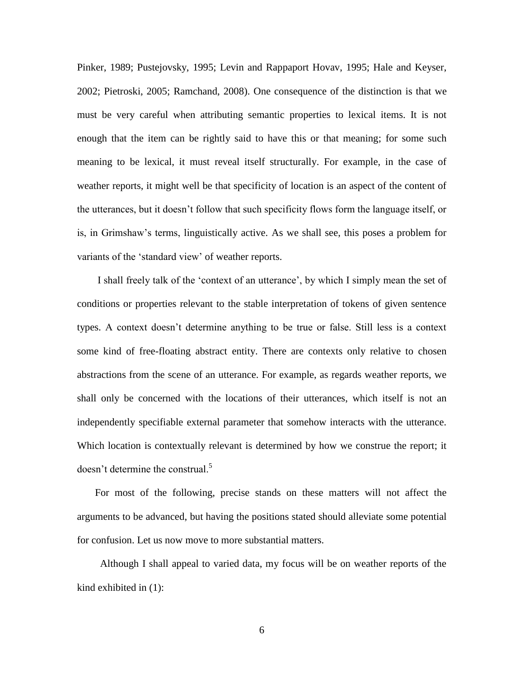Pinker, 1989; Pustejovsky, 1995; Levin and Rappaport Hovav, 1995; Hale and Keyser, 2002; Pietroski, 2005; Ramchand, 2008). One consequence of the distinction is that we must be very careful when attributing semantic properties to lexical items. It is not enough that the item can be rightly said to have this or that meaning; for some such meaning to be lexical, it must reveal itself structurally. For example, in the case of weather reports, it might well be that specificity of location is an aspect of the content of the utterances, but it doesn't follow that such specificity flows form the language itself, or is, in Grimshaw's terms, linguistically active. As we shall see, this poses a problem for variants of the 'standard view' of weather reports.

 I shall freely talk of the 'context of an utterance', by which I simply mean the set of conditions or properties relevant to the stable interpretation of tokens of given sentence types. A context doesn't determine anything to be true or false. Still less is a context some kind of free-floating abstract entity. There are contexts only relative to chosen abstractions from the scene of an utterance. For example, as regards weather reports, we shall only be concerned with the locations of their utterances, which itself is not an independently specifiable external parameter that somehow interacts with the utterance. Which location is contextually relevant is determined by how we construe the report; it doesn't determine the construal.<sup>5</sup>

 For most of the following, precise stands on these matters will not affect the arguments to be advanced, but having the positions stated should alleviate some potential for confusion. Let us now move to more substantial matters.

 Although I shall appeal to varied data, my focus will be on weather reports of the kind exhibited in (1):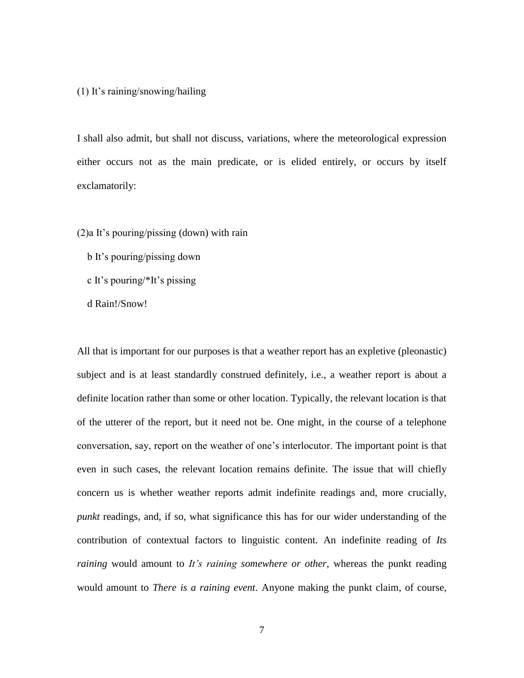## (1) It's raining/snowing/hailing

I shall also admit, but shall not discuss, variations, where the meteorological expression either occurs not as the main predicate, or is elided entirely, or occurs by itself exclamatorily:

(2)a It's pouring/pissing (down) with rain

b It's pouring/pissing down

c It's pouring/\*It's pissing

d Rain!/Snow!

All that is important for our purposes is that a weather report has an expletive (pleonastic) subject and is at least standardly construed definitely, i.e., a weather report is about a definite location rather than some or other location. Typically, the relevant location is that of the utterer of the report, but it need not be. One might, in the course of a telephone conversation, say, report on the weather of one's interlocutor. The important point is that even in such cases, the relevant location remains definite. The issue that will chiefly concern us is whether weather reports admit indefinite readings and, more crucially, *punkt* readings, and, if so, what significance this has for our wider understanding of the contribution of contextual factors to linguistic content. An indefinite reading of *Its raining* would amount to *It's raining somewhere or other*, whereas the punkt reading would amount to *There is a raining event*. Anyone making the punkt claim, of course,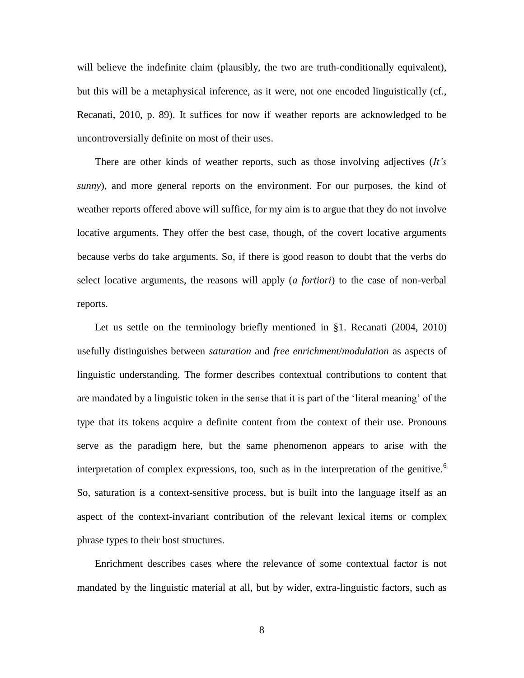will believe the indefinite claim (plausibly, the two are truth-conditionally equivalent), but this will be a metaphysical inference, as it were, not one encoded linguistically (cf., Recanati, 2010, p. 89). It suffices for now if weather reports are acknowledged to be uncontroversially definite on most of their uses.

 There are other kinds of weather reports, such as those involving adjectives (*It's sunny*), and more general reports on the environment. For our purposes, the kind of weather reports offered above will suffice, for my aim is to argue that they do not involve locative arguments. They offer the best case, though, of the covert locative arguments because verbs do take arguments. So, if there is good reason to doubt that the verbs do select locative arguments, the reasons will apply (*a fortiori*) to the case of non-verbal reports.

Let us settle on the terminology briefly mentioned in §1. Recanati (2004, 2010) usefully distinguishes between *saturation* and *free enrichment*/*modulation* as aspects of linguistic understanding. The former describes contextual contributions to content that are mandated by a linguistic token in the sense that it is part of the 'literal meaning' of the type that its tokens acquire a definite content from the context of their use. Pronouns serve as the paradigm here, but the same phenomenon appears to arise with the interpretation of complex expressions, too, such as in the interpretation of the genitive.<sup>6</sup> So, saturation is a context-sensitive process, but is built into the language itself as an aspect of the context-invariant contribution of the relevant lexical items or complex phrase types to their host structures.

 Enrichment describes cases where the relevance of some contextual factor is not mandated by the linguistic material at all, but by wider, extra-linguistic factors, such as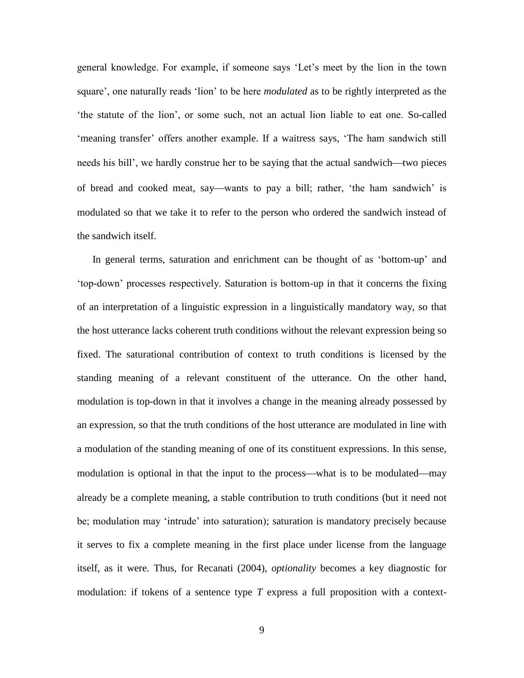general knowledge. For example, if someone says 'Let's meet by the lion in the town square', one naturally reads 'lion' to be here *modulated* as to be rightly interpreted as the 'the statute of the lion', or some such, not an actual lion liable to eat one. So-called 'meaning transfer' offers another example. If a waitress says, 'The ham sandwich still needs his bill', we hardly construe her to be saying that the actual sandwich—two pieces of bread and cooked meat, say—wants to pay a bill; rather, 'the ham sandwich' is modulated so that we take it to refer to the person who ordered the sandwich instead of the sandwich itself.

 In general terms, saturation and enrichment can be thought of as 'bottom-up' and 'top-down' processes respectively. Saturation is bottom-up in that it concerns the fixing of an interpretation of a linguistic expression in a linguistically mandatory way, so that the host utterance lacks coherent truth conditions without the relevant expression being so fixed. The saturational contribution of context to truth conditions is licensed by the standing meaning of a relevant constituent of the utterance. On the other hand, modulation is top-down in that it involves a change in the meaning already possessed by an expression, so that the truth conditions of the host utterance are modulated in line with a modulation of the standing meaning of one of its constituent expressions. In this sense, modulation is optional in that the input to the process—what is to be modulated—may already be a complete meaning, a stable contribution to truth conditions (but it need not be; modulation may 'intrude' into saturation); saturation is mandatory precisely because it serves to fix a complete meaning in the first place under license from the language itself, as it were. Thus, for Recanati (2004), *optionality* becomes a key diagnostic for modulation: if tokens of a sentence type *T* express a full proposition with a context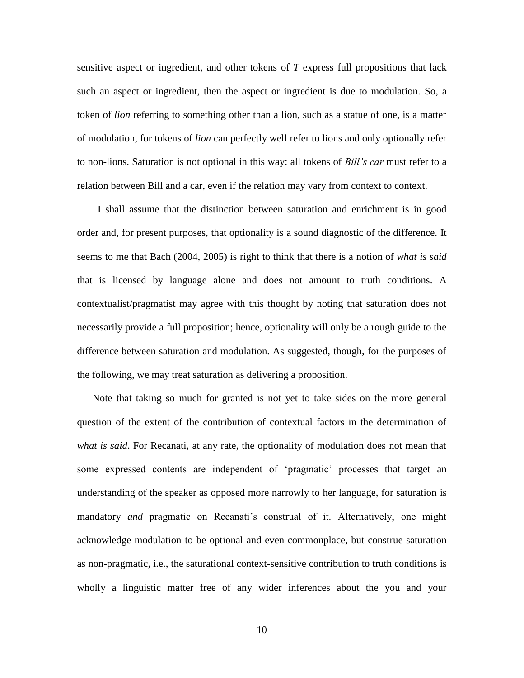sensitive aspect or ingredient, and other tokens of *T* express full propositions that lack such an aspect or ingredient, then the aspect or ingredient is due to modulation. So, a token of *lion* referring to something other than a lion, such as a statue of one, is a matter of modulation, for tokens of *lion* can perfectly well refer to lions and only optionally refer to non-lions. Saturation is not optional in this way: all tokens of *Bill's car* must refer to a relation between Bill and a car, even if the relation may vary from context to context.

 I shall assume that the distinction between saturation and enrichment is in good order and, for present purposes, that optionality is a sound diagnostic of the difference. It seems to me that Bach (2004, 2005) is right to think that there is a notion of *what is said* that is licensed by language alone and does not amount to truth conditions. A contextualist/pragmatist may agree with this thought by noting that saturation does not necessarily provide a full proposition; hence, optionality will only be a rough guide to the difference between saturation and modulation. As suggested, though, for the purposes of the following, we may treat saturation as delivering a proposition.

 Note that taking so much for granted is not yet to take sides on the more general question of the extent of the contribution of contextual factors in the determination of *what is said*. For Recanati, at any rate, the optionality of modulation does not mean that some expressed contents are independent of 'pragmatic' processes that target an understanding of the speaker as opposed more narrowly to her language, for saturation is mandatory *and* pragmatic on Recanati's construal of it. Alternatively, one might acknowledge modulation to be optional and even commonplace, but construe saturation as non-pragmatic, i.e., the saturational context-sensitive contribution to truth conditions is wholly a linguistic matter free of any wider inferences about the you and your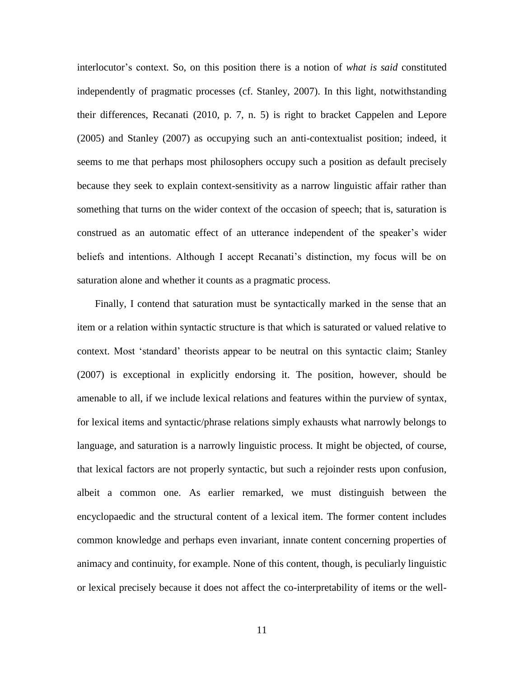interlocutor's context. So, on this position there is a notion of *what is said* constituted independently of pragmatic processes (cf. Stanley, 2007). In this light, notwithstanding their differences, Recanati (2010, p. 7, n. 5) is right to bracket Cappelen and Lepore (2005) and Stanley (2007) as occupying such an anti-contextualist position; indeed, it seems to me that perhaps most philosophers occupy such a position as default precisely because they seek to explain context-sensitivity as a narrow linguistic affair rather than something that turns on the wider context of the occasion of speech; that is, saturation is construed as an automatic effect of an utterance independent of the speaker's wider beliefs and intentions. Although I accept Recanati's distinction, my focus will be on saturation alone and whether it counts as a pragmatic process.

 Finally, I contend that saturation must be syntactically marked in the sense that an item or a relation within syntactic structure is that which is saturated or valued relative to context. Most 'standard' theorists appear to be neutral on this syntactic claim; Stanley (2007) is exceptional in explicitly endorsing it. The position, however, should be amenable to all, if we include lexical relations and features within the purview of syntax, for lexical items and syntactic/phrase relations simply exhausts what narrowly belongs to language, and saturation is a narrowly linguistic process. It might be objected, of course, that lexical factors are not properly syntactic, but such a rejoinder rests upon confusion, albeit a common one. As earlier remarked, we must distinguish between the encyclopaedic and the structural content of a lexical item. The former content includes common knowledge and perhaps even invariant, innate content concerning properties of animacy and continuity, for example. None of this content, though, is peculiarly linguistic or lexical precisely because it does not affect the co-interpretability of items or the well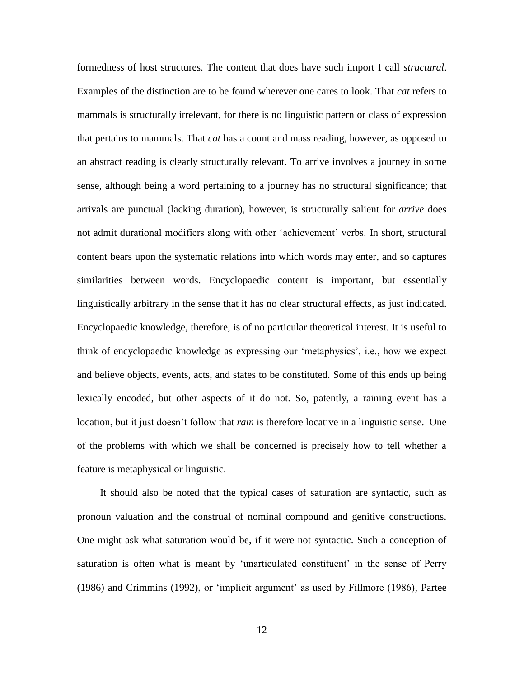formedness of host structures. The content that does have such import I call *structural*. Examples of the distinction are to be found wherever one cares to look. That *cat* refers to mammals is structurally irrelevant, for there is no linguistic pattern or class of expression that pertains to mammals. That *cat* has a count and mass reading, however, as opposed to an abstract reading is clearly structurally relevant. To arrive involves a journey in some sense, although being a word pertaining to a journey has no structural significance; that arrivals are punctual (lacking duration), however, is structurally salient for *arrive* does not admit durational modifiers along with other 'achievement' verbs. In short, structural content bears upon the systematic relations into which words may enter, and so captures similarities between words. Encyclopaedic content is important, but essentially linguistically arbitrary in the sense that it has no clear structural effects, as just indicated. Encyclopaedic knowledge, therefore, is of no particular theoretical interest. It is useful to think of encyclopaedic knowledge as expressing our 'metaphysics', i.e., how we expect and believe objects, events, acts, and states to be constituted. Some of this ends up being lexically encoded, but other aspects of it do not. So, patently, a raining event has a location, but it just doesn't follow that *rain* is therefore locative in a linguistic sense. One of the problems with which we shall be concerned is precisely how to tell whether a feature is metaphysical or linguistic.

 It should also be noted that the typical cases of saturation are syntactic, such as pronoun valuation and the construal of nominal compound and genitive constructions. One might ask what saturation would be, if it were not syntactic. Such a conception of saturation is often what is meant by 'unarticulated constituent' in the sense of Perry (1986) and Crimmins (1992), or 'implicit argument' as used by Fillmore (1986), Partee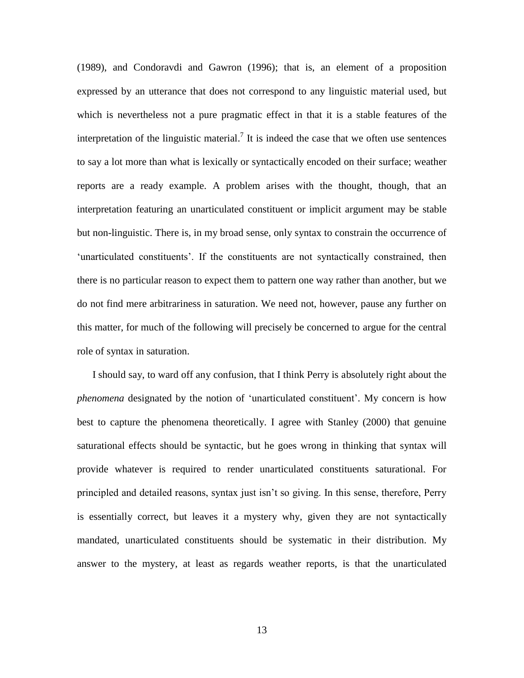(1989), and Condoravdi and Gawron (1996); that is, an element of a proposition expressed by an utterance that does not correspond to any linguistic material used, but which is nevertheless not a pure pragmatic effect in that it is a stable features of the interpretation of the linguistic material.<sup>7</sup> It is indeed the case that we often use sentences to say a lot more than what is lexically or syntactically encoded on their surface; weather reports are a ready example. A problem arises with the thought, though, that an interpretation featuring an unarticulated constituent or implicit argument may be stable but non-linguistic. There is, in my broad sense, only syntax to constrain the occurrence of 'unarticulated constituents'. If the constituents are not syntactically constrained, then there is no particular reason to expect them to pattern one way rather than another, but we do not find mere arbitrariness in saturation. We need not, however, pause any further on this matter, for much of the following will precisely be concerned to argue for the central role of syntax in saturation.

 I should say, to ward off any confusion, that I think Perry is absolutely right about the *phenomena* designated by the notion of 'unarticulated constituent'. My concern is how best to capture the phenomena theoretically. I agree with Stanley (2000) that genuine saturational effects should be syntactic, but he goes wrong in thinking that syntax will provide whatever is required to render unarticulated constituents saturational. For principled and detailed reasons, syntax just isn't so giving. In this sense, therefore, Perry is essentially correct, but leaves it a mystery why, given they are not syntactically mandated, unarticulated constituents should be systematic in their distribution. My answer to the mystery, at least as regards weather reports, is that the unarticulated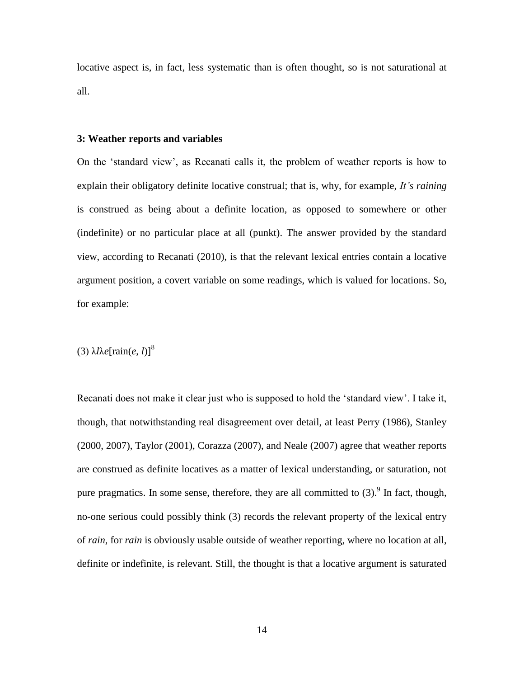locative aspect is, in fact, less systematic than is often thought, so is not saturational at all.

### **3: Weather reports and variables**

On the 'standard view', as Recanati calls it, the problem of weather reports is how to explain their obligatory definite locative construal; that is, why, for example, *It's raining* is construed as being about a definite location, as opposed to somewhere or other (indefinite) or no particular place at all (punkt). The answer provided by the standard view, according to Recanati (2010), is that the relevant lexical entries contain a locative argument position, a covert variable on some readings, which is valued for locations. So, for example:

(3)  $\lambda l \lambda e$ [rain(*e*, *l*)]<sup>8</sup>

Recanati does not make it clear just who is supposed to hold the 'standard view'. I take it, though, that notwithstanding real disagreement over detail, at least Perry (1986), Stanley (2000, 2007), Taylor (2001), Corazza (2007), and Neale (2007) agree that weather reports are construed as definite locatives as a matter of lexical understanding, or saturation, not pure pragmatics. In some sense, therefore, they are all committed to  $(3)$ . In fact, though, no-one serious could possibly think (3) records the relevant property of the lexical entry of *rain*, for *rain* is obviously usable outside of weather reporting, where no location at all, definite or indefinite, is relevant. Still, the thought is that a locative argument is saturated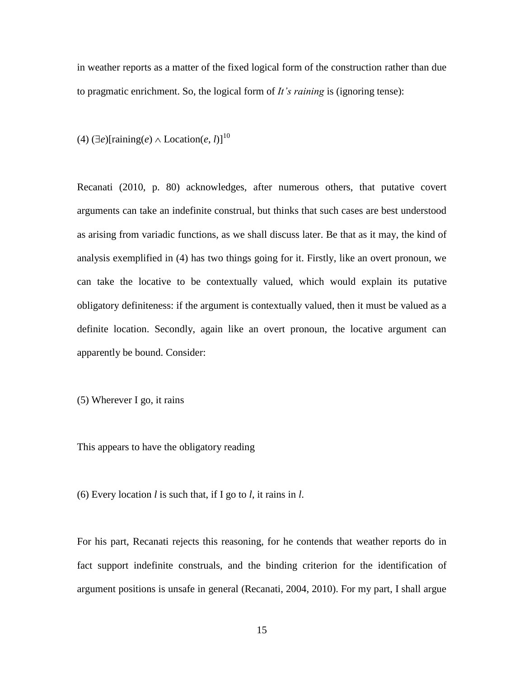in weather reports as a matter of the fixed logical form of the construction rather than due to pragmatic enrichment. So, the logical form of *It's raining* is (ignoring tense):

 $(4)$  ( $\exists e$ )[raining(*e*)  $\land$  Location(*e*, *l*)]<sup>10</sup>

Recanati (2010, p. 80) acknowledges, after numerous others, that putative covert arguments can take an indefinite construal, but thinks that such cases are best understood as arising from variadic functions, as we shall discuss later. Be that as it may, the kind of analysis exemplified in (4) has two things going for it. Firstly, like an overt pronoun, we can take the locative to be contextually valued, which would explain its putative obligatory definiteness: if the argument is contextually valued, then it must be valued as a definite location. Secondly, again like an overt pronoun, the locative argument can apparently be bound. Consider:

(5) Wherever I go, it rains

This appears to have the obligatory reading

(6) Every location *l* is such that, if I go to *l*, it rains in *l*.

For his part, Recanati rejects this reasoning, for he contends that weather reports do in fact support indefinite construals, and the binding criterion for the identification of argument positions is unsafe in general (Recanati, 2004, 2010). For my part, I shall argue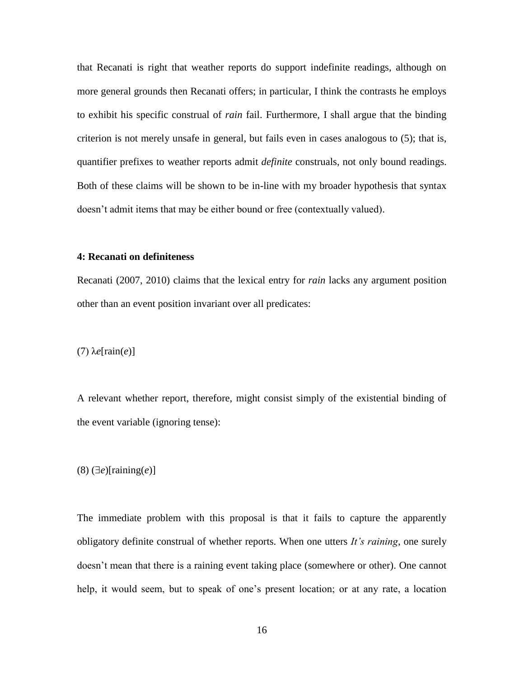that Recanati is right that weather reports do support indefinite readings, although on more general grounds then Recanati offers; in particular, I think the contrasts he employs to exhibit his specific construal of *rain* fail. Furthermore, I shall argue that the binding criterion is not merely unsafe in general, but fails even in cases analogous to (5); that is, quantifier prefixes to weather reports admit *definite* construals, not only bound readings. Both of these claims will be shown to be in-line with my broader hypothesis that syntax doesn't admit items that may be either bound or free (contextually valued).

# **4: Recanati on definiteness**

Recanati (2007, 2010) claims that the lexical entry for *rain* lacks any argument position other than an event position invariant over all predicates:

(7) λ*e*[rain(*e*)]

A relevant whether report, therefore, might consist simply of the existential binding of the event variable (ignoring tense):

(8) (*e*)[raining(*e*)]

The immediate problem with this proposal is that it fails to capture the apparently obligatory definite construal of whether reports. When one utters *It's raining*, one surely doesn't mean that there is a raining event taking place (somewhere or other). One cannot help, it would seem, but to speak of one's present location; or at any rate, a location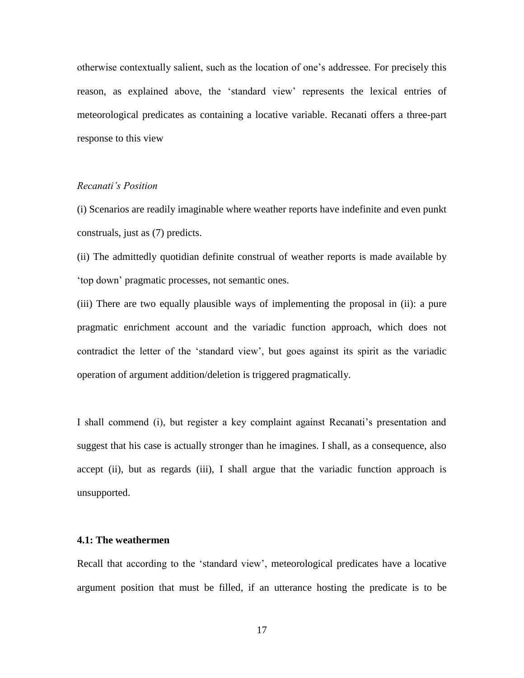otherwise contextually salient, such as the location of one's addressee. For precisely this reason, as explained above, the 'standard view' represents the lexical entries of meteorological predicates as containing a locative variable. Recanati offers a three-part response to this view

# *Recanati's Position*

(i) Scenarios are readily imaginable where weather reports have indefinite and even punkt construals, just as (7) predicts.

(ii) The admittedly quotidian definite construal of weather reports is made available by 'top down' pragmatic processes, not semantic ones.

(iii) There are two equally plausible ways of implementing the proposal in (ii): a pure pragmatic enrichment account and the variadic function approach, which does not contradict the letter of the 'standard view', but goes against its spirit as the variadic operation of argument addition/deletion is triggered pragmatically.

I shall commend (i), but register a key complaint against Recanati's presentation and suggest that his case is actually stronger than he imagines. I shall, as a consequence, also accept (ii), but as regards (iii), I shall argue that the variadic function approach is unsupported.

### **4.1: The weathermen**

Recall that according to the 'standard view', meteorological predicates have a locative argument position that must be filled, if an utterance hosting the predicate is to be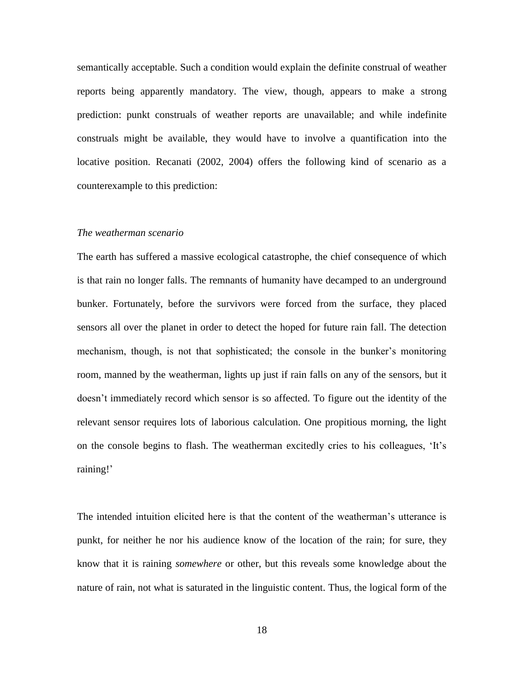semantically acceptable. Such a condition would explain the definite construal of weather reports being apparently mandatory. The view, though, appears to make a strong prediction: punkt construals of weather reports are unavailable; and while indefinite construals might be available, they would have to involve a quantification into the locative position. Recanati (2002, 2004) offers the following kind of scenario as a counterexample to this prediction:

#### *The weatherman scenario*

The earth has suffered a massive ecological catastrophe, the chief consequence of which is that rain no longer falls. The remnants of humanity have decamped to an underground bunker. Fortunately, before the survivors were forced from the surface, they placed sensors all over the planet in order to detect the hoped for future rain fall. The detection mechanism, though, is not that sophisticated; the console in the bunker's monitoring room, manned by the weatherman, lights up just if rain falls on any of the sensors, but it doesn't immediately record which sensor is so affected. To figure out the identity of the relevant sensor requires lots of laborious calculation. One propitious morning, the light on the console begins to flash. The weatherman excitedly cries to his colleagues, 'It's raining!'

The intended intuition elicited here is that the content of the weatherman's utterance is punkt, for neither he nor his audience know of the location of the rain; for sure, they know that it is raining *somewhere* or other, but this reveals some knowledge about the nature of rain, not what is saturated in the linguistic content. Thus, the logical form of the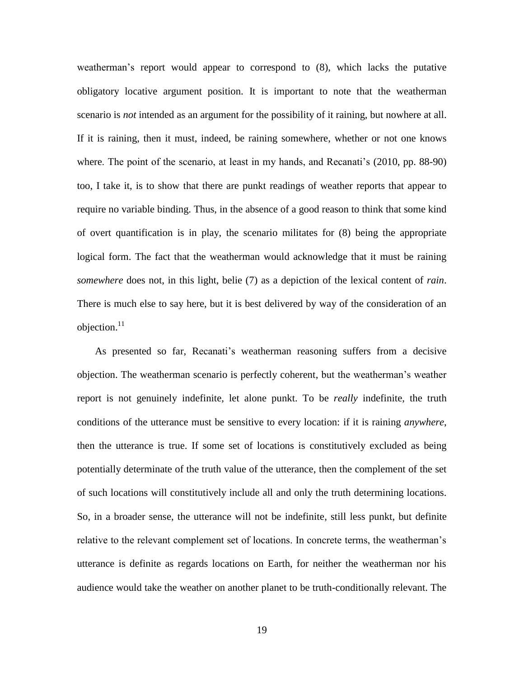weatherman's report would appear to correspond to (8), which lacks the putative obligatory locative argument position. It is important to note that the weatherman scenario is *not* intended as an argument for the possibility of it raining, but nowhere at all. If it is raining, then it must, indeed, be raining somewhere, whether or not one knows where. The point of the scenario, at least in my hands, and Recanati's (2010, pp. 88-90) too, I take it, is to show that there are punkt readings of weather reports that appear to require no variable binding. Thus, in the absence of a good reason to think that some kind of overt quantification is in play, the scenario militates for (8) being the appropriate logical form. The fact that the weatherman would acknowledge that it must be raining *somewhere* does not, in this light, belie (7) as a depiction of the lexical content of *rain*. There is much else to say here, but it is best delivered by way of the consideration of an objection. $^{11}$ 

 As presented so far, Recanati's weatherman reasoning suffers from a decisive objection. The weatherman scenario is perfectly coherent, but the weatherman's weather report is not genuinely indefinite, let alone punkt. To be *really* indefinite, the truth conditions of the utterance must be sensitive to every location: if it is raining *anywhere*, then the utterance is true. If some set of locations is constitutively excluded as being potentially determinate of the truth value of the utterance, then the complement of the set of such locations will constitutively include all and only the truth determining locations. So, in a broader sense, the utterance will not be indefinite, still less punkt, but definite relative to the relevant complement set of locations. In concrete terms, the weatherman's utterance is definite as regards locations on Earth, for neither the weatherman nor his audience would take the weather on another planet to be truth-conditionally relevant. The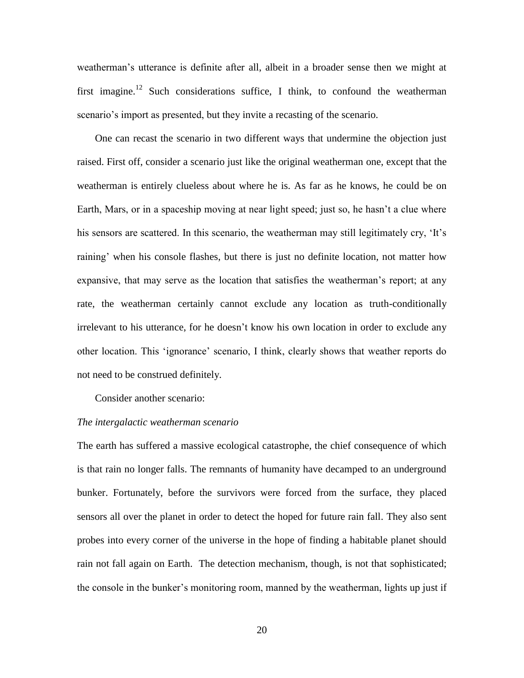weatherman's utterance is definite after all, albeit in a broader sense then we might at first imagine.<sup>12</sup> Such considerations suffice, I think, to confound the weatherman scenario's import as presented, but they invite a recasting of the scenario.

 One can recast the scenario in two different ways that undermine the objection just raised. First off, consider a scenario just like the original weatherman one, except that the weatherman is entirely clueless about where he is. As far as he knows, he could be on Earth, Mars, or in a spaceship moving at near light speed; just so, he hasn't a clue where his sensors are scattered. In this scenario, the weatherman may still legitimately cry, 'It's raining' when his console flashes, but there is just no definite location, not matter how expansive, that may serve as the location that satisfies the weatherman's report; at any rate, the weatherman certainly cannot exclude any location as truth-conditionally irrelevant to his utterance, for he doesn't know his own location in order to exclude any other location. This 'ignorance' scenario, I think, clearly shows that weather reports do not need to be construed definitely.

Consider another scenario:

### *The intergalactic weatherman scenario*

The earth has suffered a massive ecological catastrophe, the chief consequence of which is that rain no longer falls. The remnants of humanity have decamped to an underground bunker. Fortunately, before the survivors were forced from the surface, they placed sensors all over the planet in order to detect the hoped for future rain fall. They also sent probes into every corner of the universe in the hope of finding a habitable planet should rain not fall again on Earth. The detection mechanism, though, is not that sophisticated; the console in the bunker's monitoring room, manned by the weatherman, lights up just if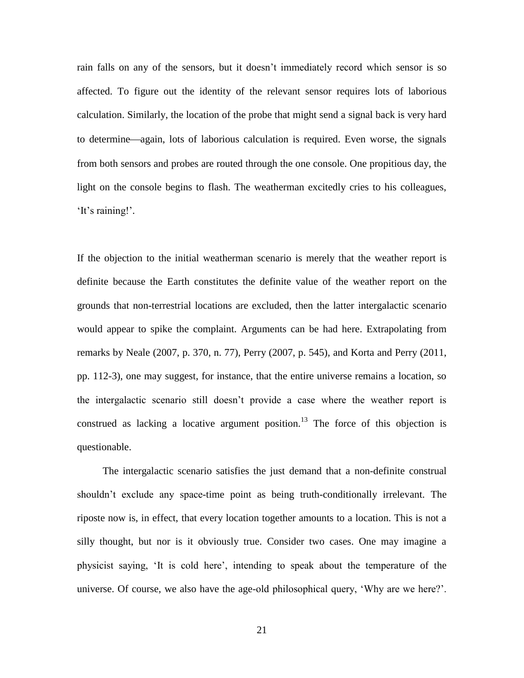rain falls on any of the sensors, but it doesn't immediately record which sensor is so affected. To figure out the identity of the relevant sensor requires lots of laborious calculation. Similarly, the location of the probe that might send a signal back is very hard to determine—again, lots of laborious calculation is required. Even worse, the signals from both sensors and probes are routed through the one console. One propitious day, the light on the console begins to flash. The weatherman excitedly cries to his colleagues, 'It's raining!'.

If the objection to the initial weatherman scenario is merely that the weather report is definite because the Earth constitutes the definite value of the weather report on the grounds that non-terrestrial locations are excluded, then the latter intergalactic scenario would appear to spike the complaint. Arguments can be had here. Extrapolating from remarks by Neale (2007, p. 370, n. 77), Perry (2007, p. 545), and Korta and Perry (2011, pp. 112-3), one may suggest, for instance, that the entire universe remains a location, so the intergalactic scenario still doesn't provide a case where the weather report is construed as lacking a locative argument position.<sup>13</sup> The force of this objection is questionable.

 The intergalactic scenario satisfies the just demand that a non-definite construal shouldn't exclude any space-time point as being truth-conditionally irrelevant. The riposte now is, in effect, that every location together amounts to a location. This is not a silly thought, but nor is it obviously true. Consider two cases. One may imagine a physicist saying, 'It is cold here', intending to speak about the temperature of the universe. Of course, we also have the age-old philosophical query, 'Why are we here?'.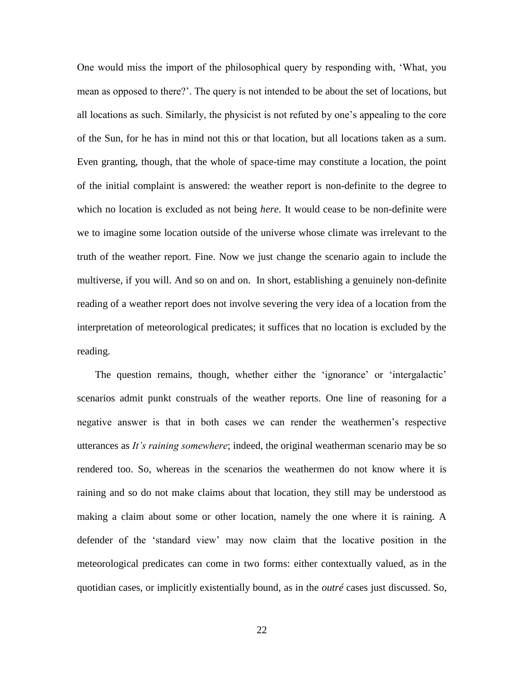One would miss the import of the philosophical query by responding with, 'What, you mean as opposed to there?'. The query is not intended to be about the set of locations, but all locations as such. Similarly, the physicist is not refuted by one's appealing to the core of the Sun, for he has in mind not this or that location, but all locations taken as a sum. Even granting, though, that the whole of space-time may constitute a location, the point of the initial complaint is answered: the weather report is non-definite to the degree to which no location is excluded as not being *here*. It would cease to be non-definite were we to imagine some location outside of the universe whose climate was irrelevant to the truth of the weather report. Fine. Now we just change the scenario again to include the multiverse, if you will. And so on and on. In short, establishing a genuinely non-definite reading of a weather report does not involve severing the very idea of a location from the interpretation of meteorological predicates; it suffices that no location is excluded by the reading.

 The question remains, though, whether either the 'ignorance' or 'intergalactic' scenarios admit punkt construals of the weather reports. One line of reasoning for a negative answer is that in both cases we can render the weathermen's respective utterances as *It's raining somewhere*; indeed, the original weatherman scenario may be so rendered too. So, whereas in the scenarios the weathermen do not know where it is raining and so do not make claims about that location, they still may be understood as making a claim about some or other location, namely the one where it is raining. A defender of the 'standard view' may now claim that the locative position in the meteorological predicates can come in two forms: either contextually valued, as in the quotidian cases, or implicitly existentially bound, as in the *outré* cases just discussed. So,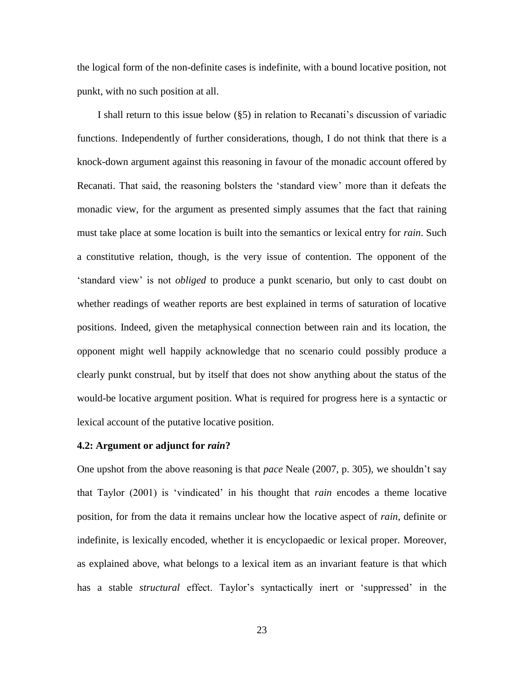the logical form of the non-definite cases is indefinite, with a bound locative position, not punkt, with no such position at all.

 I shall return to this issue below (§5) in relation to Recanati's discussion of variadic functions. Independently of further considerations, though, I do not think that there is a knock-down argument against this reasoning in favour of the monadic account offered by Recanati. That said, the reasoning bolsters the 'standard view' more than it defeats the monadic view, for the argument as presented simply assumes that the fact that raining must take place at some location is built into the semantics or lexical entry for *rain*. Such a constitutive relation, though, is the very issue of contention. The opponent of the 'standard view' is not *obliged* to produce a punkt scenario, but only to cast doubt on whether readings of weather reports are best explained in terms of saturation of locative positions. Indeed, given the metaphysical connection between rain and its location, the opponent might well happily acknowledge that no scenario could possibly produce a clearly punkt construal, but by itself that does not show anything about the status of the would-be locative argument position. What is required for progress here is a syntactic or lexical account of the putative locative position.

## **4.2: Argument or adjunct for** *rain***?**

One upshot from the above reasoning is that *pace* Neale (2007, p. 305), we shouldn't say that Taylor (2001) is 'vindicated' in his thought that *rain* encodes a theme locative position, for from the data it remains unclear how the locative aspect of *rain*, definite or indefinite, is lexically encoded, whether it is encyclopaedic or lexical proper. Moreover, as explained above, what belongs to a lexical item as an invariant feature is that which has a stable *structural* effect. Taylor's syntactically inert or 'suppressed' in the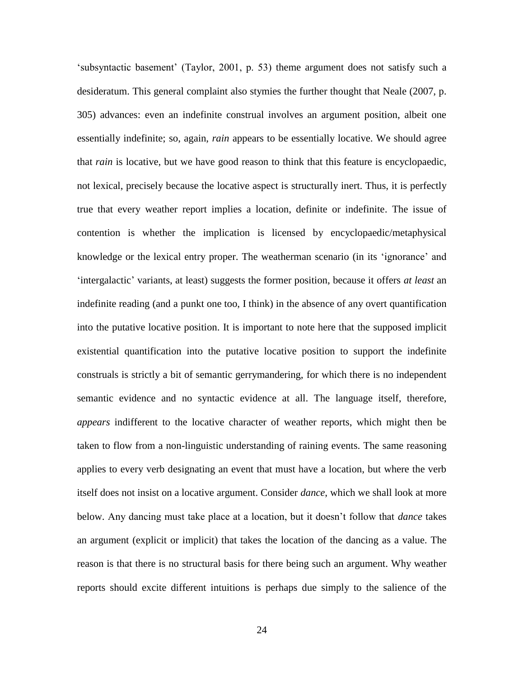'subsyntactic basement' (Taylor, 2001, p. 53) theme argument does not satisfy such a desideratum. This general complaint also stymies the further thought that Neale (2007, p. 305) advances: even an indefinite construal involves an argument position, albeit one essentially indefinite; so, again, *rain* appears to be essentially locative. We should agree that *rain* is locative, but we have good reason to think that this feature is encyclopaedic, not lexical, precisely because the locative aspect is structurally inert. Thus, it is perfectly true that every weather report implies a location, definite or indefinite. The issue of contention is whether the implication is licensed by encyclopaedic/metaphysical knowledge or the lexical entry proper. The weatherman scenario (in its 'ignorance' and 'intergalactic' variants, at least) suggests the former position, because it offers *at least* an indefinite reading (and a punkt one too, I think) in the absence of any overt quantification into the putative locative position. It is important to note here that the supposed implicit existential quantification into the putative locative position to support the indefinite construals is strictly a bit of semantic gerrymandering, for which there is no independent semantic evidence and no syntactic evidence at all. The language itself, therefore, *appears* indifferent to the locative character of weather reports, which might then be taken to flow from a non-linguistic understanding of raining events. The same reasoning applies to every verb designating an event that must have a location, but where the verb itself does not insist on a locative argument. Consider *dance*, which we shall look at more below. Any dancing must take place at a location, but it doesn't follow that *dance* takes an argument (explicit or implicit) that takes the location of the dancing as a value. The reason is that there is no structural basis for there being such an argument. Why weather reports should excite different intuitions is perhaps due simply to the salience of the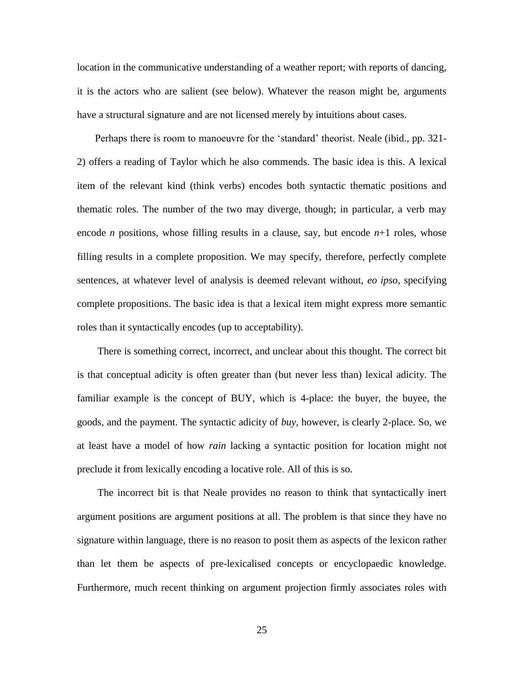location in the communicative understanding of a weather report; with reports of dancing, it is the actors who are salient (see below). Whatever the reason might be, arguments have a structural signature and are not licensed merely by intuitions about cases.

 Perhaps there is room to manoeuvre for the 'standard' theorist. Neale (ibid., pp. 321- 2) offers a reading of Taylor which he also commends. The basic idea is this. A lexical item of the relevant kind (think verbs) encodes both syntactic thematic positions and thematic roles. The number of the two may diverge, though; in particular, a verb may encode *n* positions, whose filling results in a clause, say, but encode  $n+1$  roles, whose filling results in a complete proposition. We may specify, therefore, perfectly complete sentences, at whatever level of analysis is deemed relevant without, *eo ipso*, specifying complete propositions. The basic idea is that a lexical item might express more semantic roles than it syntactically encodes (up to acceptability).

 There is something correct, incorrect, and unclear about this thought. The correct bit is that conceptual adicity is often greater than (but never less than) lexical adicity. The familiar example is the concept of BUY, which is 4-place: the buyer, the buyee, the goods, and the payment. The syntactic adicity of *buy*, however, is clearly 2-place. So, we at least have a model of how *rain* lacking a syntactic position for location might not preclude it from lexically encoding a locative role. All of this is so.

 The incorrect bit is that Neale provides no reason to think that syntactically inert argument positions are argument positions at all. The problem is that since they have no signature within language, there is no reason to posit them as aspects of the lexicon rather than let them be aspects of pre-lexicalised concepts or encyclopaedic knowledge. Furthermore, much recent thinking on argument projection firmly associates roles with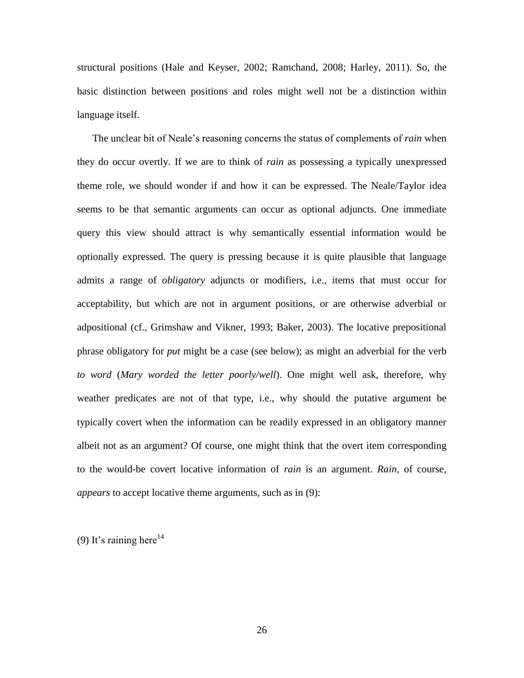structural positions (Hale and Keyser, 2002; Ramchand, 2008; Harley, 2011). So, the basic distinction between positions and roles might well not be a distinction within language itself.

 The unclear bit of Neale's reasoning concerns the status of complements of *rain* when they do occur overtly. If we are to think of *rain* as possessing a typically unexpressed theme role, we should wonder if and how it can be expressed. The Neale/Taylor idea seems to be that semantic arguments can occur as optional adjuncts. One immediate query this view should attract is why semantically essential information would be optionally expressed. The query is pressing because it is quite plausible that language admits a range of *obligatory* adjuncts or modifiers, i.e., items that must occur for acceptability, but which are not in argument positions, or are otherwise adverbial or adpositional (cf., Grimshaw and Vikner, 1993; Baker, 2003). The locative prepositional phrase obligatory for *put* might be a case (see below); as might an adverbial for the verb *to word* (*Mary worded the letter poorly/well*). One might well ask, therefore, why weather predicates are not of that type, i.e., why should the putative argument be typically covert when the information can be readily expressed in an obligatory manner albeit not as an argument? Of course, one might think that the overt item corresponding to the would-be covert locative information of *rain* is an argument. *Rain*, of course, *appears* to accept locative theme arguments, such as in (9):

(9) It's raining here<sup>14</sup>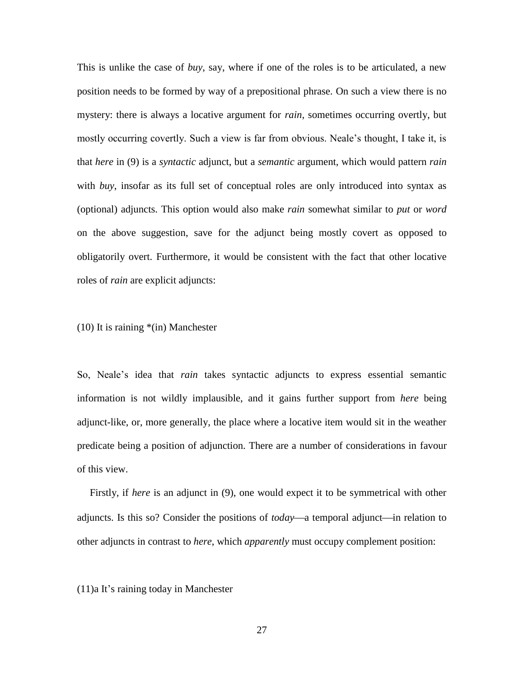This is unlike the case of *buy*, say, where if one of the roles is to be articulated, a new position needs to be formed by way of a prepositional phrase. On such a view there is no mystery: there is always a locative argument for *rain*, sometimes occurring overtly, but mostly occurring covertly. Such a view is far from obvious. Neale's thought, I take it, is that *here* in (9) is a *syntactic* adjunct, but a *semantic* argument, which would pattern *rain* with *buy*, insofar as its full set of conceptual roles are only introduced into syntax as (optional) adjuncts. This option would also make *rain* somewhat similar to *put* or *word* on the above suggestion, save for the adjunct being mostly covert as opposed to obligatorily overt. Furthermore, it would be consistent with the fact that other locative roles of *rain* are explicit adjuncts:

# (10) It is raining \*(in) Manchester

So, Neale's idea that *rain* takes syntactic adjuncts to express essential semantic information is not wildly implausible, and it gains further support from *here* being adjunct-like, or, more generally, the place where a locative item would sit in the weather predicate being a position of adjunction. There are a number of considerations in favour of this view.

 Firstly, if *here* is an adjunct in (9), one would expect it to be symmetrical with other adjuncts. Is this so? Consider the positions of *today*—a temporal adjunct—in relation to other adjuncts in contrast to *here*, which *apparently* must occupy complement position:

## (11)a It's raining today in Manchester

27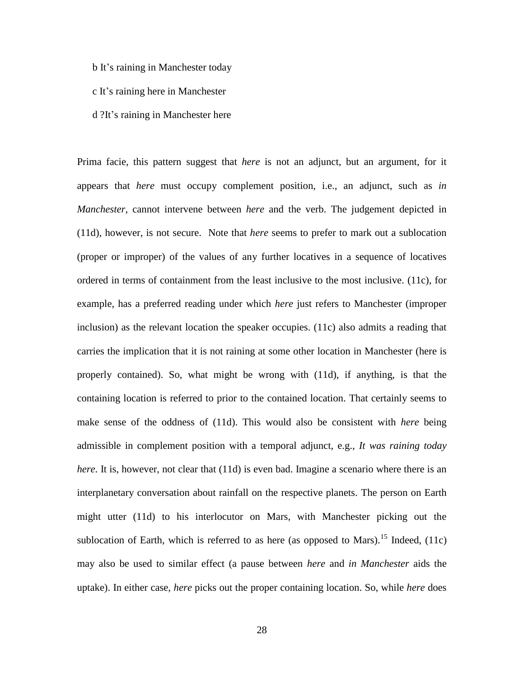b It's raining in Manchester today

c It's raining here in Manchester

d ?It's raining in Manchester here

Prima facie, this pattern suggest that *here* is not an adjunct, but an argument, for it appears that *here* must occupy complement position, i.e., an adjunct, such as *in Manchester*, cannot intervene between *here* and the verb. The judgement depicted in (11d), however, is not secure. Note that *here* seems to prefer to mark out a sublocation (proper or improper) of the values of any further locatives in a sequence of locatives ordered in terms of containment from the least inclusive to the most inclusive. (11c), for example, has a preferred reading under which *here* just refers to Manchester (improper inclusion) as the relevant location the speaker occupies. (11c) also admits a reading that carries the implication that it is not raining at some other location in Manchester (here is properly contained). So, what might be wrong with (11d), if anything, is that the containing location is referred to prior to the contained location. That certainly seems to make sense of the oddness of (11d). This would also be consistent with *here* being admissible in complement position with a temporal adjunct, e.g., *It was raining today here*. It is, however, not clear that (11d) is even bad. Imagine a scenario where there is an interplanetary conversation about rainfall on the respective planets. The person on Earth might utter (11d) to his interlocutor on Mars, with Manchester picking out the sublocation of Earth, which is referred to as here (as opposed to Mars).<sup>15</sup> Indeed,  $(11c)$ may also be used to similar effect (a pause between *here* and *in Manchester* aids the uptake). In either case, *here* picks out the proper containing location. So, while *here* does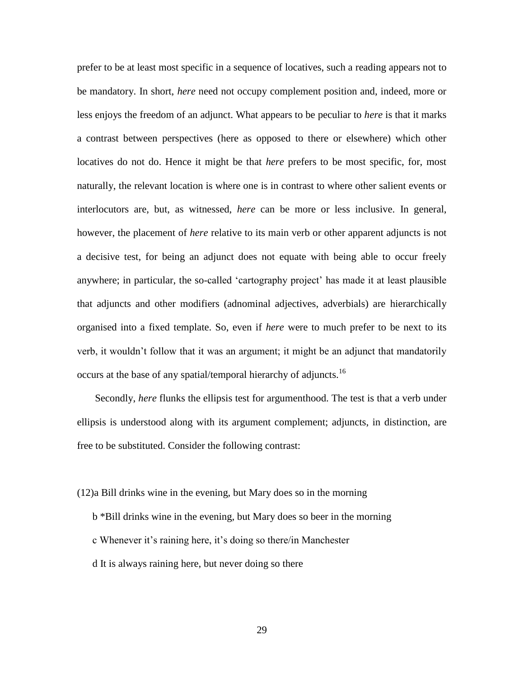prefer to be at least most specific in a sequence of locatives, such a reading appears not to be mandatory. In short, *here* need not occupy complement position and, indeed, more or less enjoys the freedom of an adjunct. What appears to be peculiar to *here* is that it marks a contrast between perspectives (here as opposed to there or elsewhere) which other locatives do not do. Hence it might be that *here* prefers to be most specific, for, most naturally, the relevant location is where one is in contrast to where other salient events or interlocutors are, but, as witnessed, *here* can be more or less inclusive. In general, however, the placement of *here* relative to its main verb or other apparent adjuncts is not a decisive test, for being an adjunct does not equate with being able to occur freely anywhere; in particular, the so-called 'cartography project' has made it at least plausible that adjuncts and other modifiers (adnominal adjectives, adverbials) are hierarchically organised into a fixed template. So, even if *here* were to much prefer to be next to its verb, it wouldn't follow that it was an argument; it might be an adjunct that mandatorily occurs at the base of any spatial/temporal hierarchy of adjuncts.<sup>16</sup>

 Secondly, *here* flunks the ellipsis test for argumenthood. The test is that a verb under ellipsis is understood along with its argument complement; adjuncts, in distinction, are free to be substituted. Consider the following contrast:

(12)a Bill drinks wine in the evening, but Mary does so in the morning

- b \*Bill drinks wine in the evening, but Mary does so beer in the morning
- c Whenever it's raining here, it's doing so there/in Manchester
- d It is always raining here, but never doing so there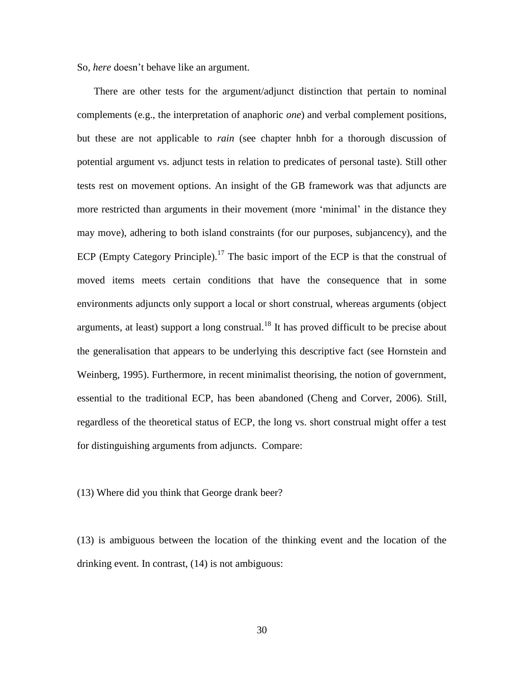So, *here* doesn't behave like an argument.

 There are other tests for the argument/adjunct distinction that pertain to nominal complements (e.g., the interpretation of anaphoric *one*) and verbal complement positions, but these are not applicable to *rain* (see chapter hnbh for a thorough discussion of potential argument vs. adjunct tests in relation to predicates of personal taste). Still other tests rest on movement options. An insight of the GB framework was that adjuncts are more restricted than arguments in their movement (more 'minimal' in the distance they may move), adhering to both island constraints (for our purposes, subjancency), and the ECP (Empty Category Principle).<sup>17</sup> The basic import of the ECP is that the construal of moved items meets certain conditions that have the consequence that in some environments adjuncts only support a local or short construal, whereas arguments (object arguments, at least) support a long construal.<sup>18</sup> It has proved difficult to be precise about the generalisation that appears to be underlying this descriptive fact (see Hornstein and Weinberg, 1995). Furthermore, in recent minimalist theorising, the notion of government, essential to the traditional ECP, has been abandoned (Cheng and Corver, 2006). Still, regardless of the theoretical status of ECP, the long vs. short construal might offer a test for distinguishing arguments from adjuncts. Compare:

(13) Where did you think that George drank beer?

(13) is ambiguous between the location of the thinking event and the location of the drinking event. In contrast, (14) is not ambiguous: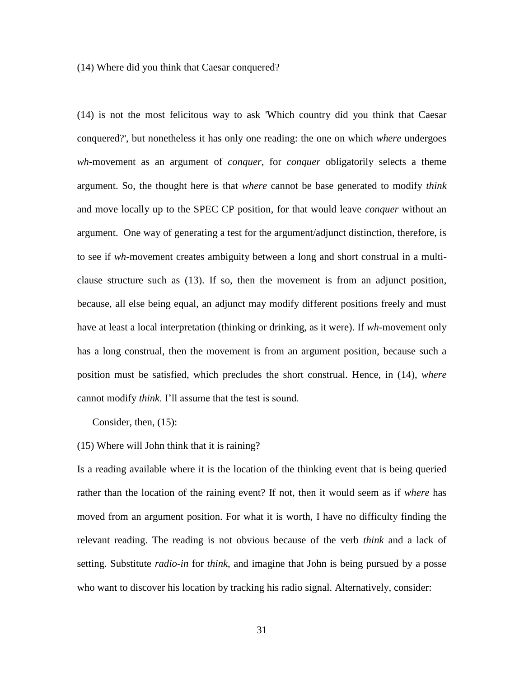#### (14) Where did you think that Caesar conquered?

(14) is not the most felicitous way to ask 'Which country did you think that Caesar conquered?', but nonetheless it has only one reading: the one on which *where* undergoes *wh*-movement as an argument of *conquer*, for *conquer* obligatorily selects a theme argument. So, the thought here is that *where* cannot be base generated to modify *think* and move locally up to the SPEC CP position, for that would leave *conquer* without an argument. One way of generating a test for the argument/adjunct distinction, therefore, is to see if *wh*-movement creates ambiguity between a long and short construal in a multiclause structure such as (13). If so, then the movement is from an adjunct position, because, all else being equal, an adjunct may modify different positions freely and must have at least a local interpretation (thinking or drinking, as it were). If *wh*-movement only has a long construal, then the movement is from an argument position, because such a position must be satisfied, which precludes the short construal. Hence, in (14), *where* cannot modify *think*. I'll assume that the test is sound.

Consider, then, (15):

### (15) Where will John think that it is raining?

Is a reading available where it is the location of the thinking event that is being queried rather than the location of the raining event? If not, then it would seem as if *where* has moved from an argument position. For what it is worth, I have no difficulty finding the relevant reading. The reading is not obvious because of the verb *think* and a lack of setting. Substitute *radio-in* for *think*, and imagine that John is being pursued by a posse who want to discover his location by tracking his radio signal. Alternatively, consider: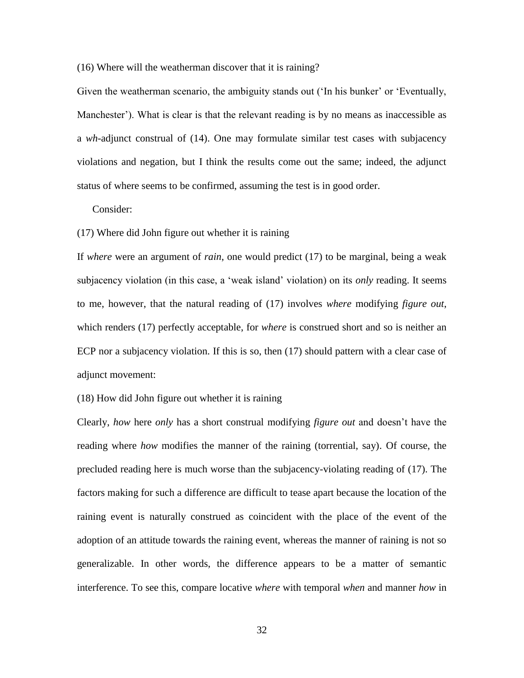(16) Where will the weatherman discover that it is raining?

Given the weatherman scenario, the ambiguity stands out ('In his bunker' or 'Eventually, Manchester'). What is clear is that the relevant reading is by no means as inaccessible as a *wh*-adjunct construal of (14). One may formulate similar test cases with subjacency violations and negation, but I think the results come out the same; indeed, the adjunct status of where seems to be confirmed, assuming the test is in good order.

# Consider:

### (17) Where did John figure out whether it is raining

If *where* were an argument of *rain*, one would predict (17) to be marginal, being a weak subjacency violation (in this case, a 'weak island' violation) on its *only* reading. It seems to me, however, that the natural reading of (17) involves *where* modifying *figure out*, which renders (17) perfectly acceptable, for *where* is construed short and so is neither an ECP nor a subjacency violation. If this is so, then  $(17)$  should pattern with a clear case of adjunct movement:

## (18) How did John figure out whether it is raining

Clearly, *how* here *only* has a short construal modifying *figure out* and doesn't have the reading where *how* modifies the manner of the raining (torrential, say). Of course, the precluded reading here is much worse than the subjacency-violating reading of (17). The factors making for such a difference are difficult to tease apart because the location of the raining event is naturally construed as coincident with the place of the event of the adoption of an attitude towards the raining event, whereas the manner of raining is not so generalizable. In other words, the difference appears to be a matter of semantic interference. To see this, compare locative *where* with temporal *when* and manner *how* in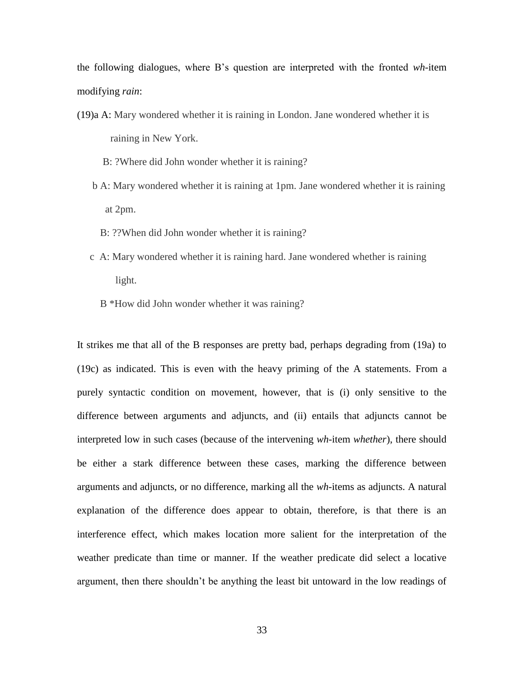the following dialogues, where B's question are interpreted with the fronted *wh*-item modifying *rain*:

- (19)a A: Mary wondered whether it is raining in London. Jane wondered whether it is raining in New York.
	- B: ?Where did John wonder whether it is raining?
	- b A: Mary wondered whether it is raining at 1pm. Jane wondered whether it is raining at 2pm.
		- B: ??When did John wonder whether it is raining?
	- c A: Mary wondered whether it is raining hard. Jane wondered whether is raining light.
		- B \*How did John wonder whether it was raining?

It strikes me that all of the B responses are pretty bad, perhaps degrading from (19a) to (19c) as indicated. This is even with the heavy priming of the A statements. From a purely syntactic condition on movement, however, that is (i) only sensitive to the difference between arguments and adjuncts, and (ii) entails that adjuncts cannot be interpreted low in such cases (because of the intervening *wh*-item *whether*), there should be either a stark difference between these cases, marking the difference between arguments and adjuncts, or no difference, marking all the *wh*-items as adjuncts. A natural explanation of the difference does appear to obtain, therefore, is that there is an interference effect, which makes location more salient for the interpretation of the weather predicate than time or manner. If the weather predicate did select a locative argument, then there shouldn't be anything the least bit untoward in the low readings of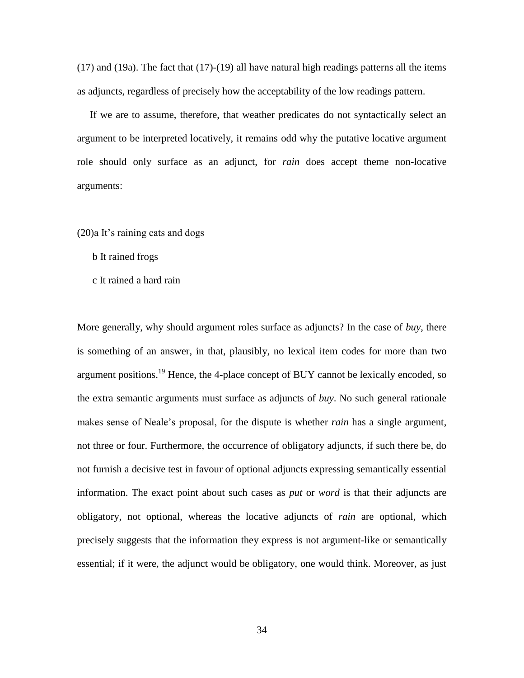$(17)$  and  $(19a)$ . The fact that  $(17)-(19)$  all have natural high readings patterns all the items as adjuncts, regardless of precisely how the acceptability of the low readings pattern.

 If we are to assume, therefore, that weather predicates do not syntactically select an argument to be interpreted locatively, it remains odd why the putative locative argument role should only surface as an adjunct, for *rain* does accept theme non-locative arguments:

(20)a It's raining cats and dogs

b It rained frogs

c It rained a hard rain

More generally, why should argument roles surface as adjuncts? In the case of *buy*, there is something of an answer, in that, plausibly, no lexical item codes for more than two argument positions.<sup>19</sup> Hence, the 4-place concept of BUY cannot be lexically encoded, so the extra semantic arguments must surface as adjuncts of *buy*. No such general rationale makes sense of Neale's proposal, for the dispute is whether *rain* has a single argument, not three or four. Furthermore, the occurrence of obligatory adjuncts, if such there be, do not furnish a decisive test in favour of optional adjuncts expressing semantically essential information. The exact point about such cases as *put* or *word* is that their adjuncts are obligatory, not optional, whereas the locative adjuncts of *rain* are optional, which precisely suggests that the information they express is not argument-like or semantically essential; if it were, the adjunct would be obligatory, one would think. Moreover, as just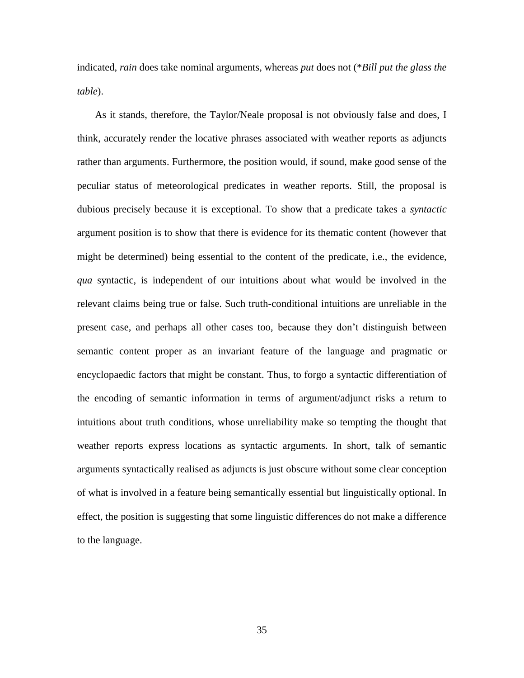indicated, *rain* does take nominal arguments, whereas *put* does not (\**Bill put the glass the table*).

 As it stands, therefore, the Taylor/Neale proposal is not obviously false and does, I think, accurately render the locative phrases associated with weather reports as adjuncts rather than arguments. Furthermore, the position would, if sound, make good sense of the peculiar status of meteorological predicates in weather reports. Still, the proposal is dubious precisely because it is exceptional. To show that a predicate takes a *syntactic* argument position is to show that there is evidence for its thematic content (however that might be determined) being essential to the content of the predicate, i.e., the evidence, *qua* syntactic, is independent of our intuitions about what would be involved in the relevant claims being true or false. Such truth-conditional intuitions are unreliable in the present case, and perhaps all other cases too, because they don't distinguish between semantic content proper as an invariant feature of the language and pragmatic or encyclopaedic factors that might be constant. Thus, to forgo a syntactic differentiation of the encoding of semantic information in terms of argument/adjunct risks a return to intuitions about truth conditions, whose unreliability make so tempting the thought that weather reports express locations as syntactic arguments. In short, talk of semantic arguments syntactically realised as adjuncts is just obscure without some clear conception of what is involved in a feature being semantically essential but linguistically optional. In effect, the position is suggesting that some linguistic differences do not make a difference to the language.

35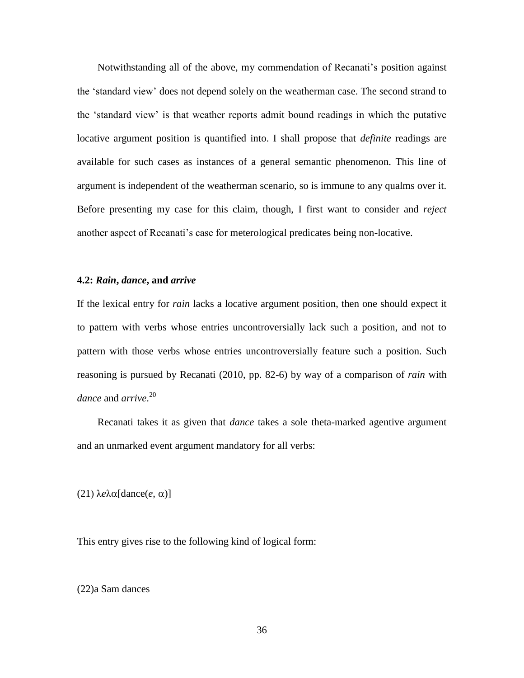Notwithstanding all of the above, my commendation of Recanati's position against the 'standard view' does not depend solely on the weatherman case. The second strand to the 'standard view' is that weather reports admit bound readings in which the putative locative argument position is quantified into. I shall propose that *definite* readings are available for such cases as instances of a general semantic phenomenon. This line of argument is independent of the weatherman scenario, so is immune to any qualms over it. Before presenting my case for this claim, though, I first want to consider and *reject* another aspect of Recanati's case for meterological predicates being non-locative.

## **4.2:** *Rain***,** *dance***, and** *arrive*

If the lexical entry for *rain* lacks a locative argument position, then one should expect it to pattern with verbs whose entries uncontroversially lack such a position, and not to pattern with those verbs whose entries uncontroversially feature such a position. Such reasoning is pursued by Recanati (2010, pp. 82-6) by way of a comparison of *rain* with *dance* and *arrive*. 20

 Recanati takes it as given that *dance* takes a sole theta-marked agentive argument and an unmarked event argument mandatory for all verbs:

(21) λ*e*λα[dance(*e*, α)]

This entry gives rise to the following kind of logical form:

## (22)a Sam dances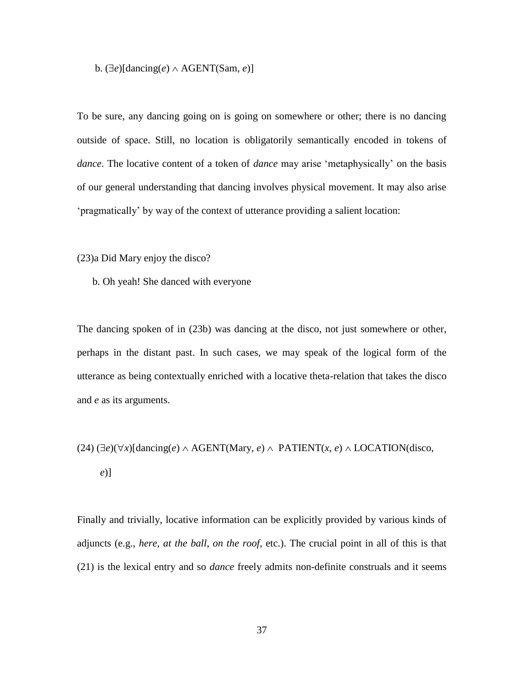# b.  $(\exists e)[\text{dancing}(e) \land \text{AGENT}(\text{Sam}, e)]$

To be sure, any dancing going on is going on somewhere or other; there is no dancing outside of space. Still, no location is obligatorily semantically encoded in tokens of *dance*. The locative content of a token of *dance* may arise 'metaphysically' on the basis of our general understanding that dancing involves physical movement. It may also arise 'pragmatically' by way of the context of utterance providing a salient location:

(23)a Did Mary enjoy the disco?

b. Oh yeah! She danced with everyone

The dancing spoken of in (23b) was dancing at the disco, not just somewhere or other, perhaps in the distant past. In such cases, we may speak of the logical form of the utterance as being contextually enriched with a locative theta-relation that takes the disco and *e* as its arguments.

 $(24)$  ( $\exists e$ )( $\forall x$ )[dancing( $e$ )  $\land$  AGENT(Mary,  $e$ )  $\land$  PATIENT( $x$ ,  $e$ )  $\land$  LOCATION(disco, *e*)]

Finally and trivially, locative information can be explicitly provided by various kinds of adjuncts (e.g., *here*, *at the ball*, *on the roof*, etc.). The crucial point in all of this is that (21) is the lexical entry and so *dance* freely admits non-definite construals and it seems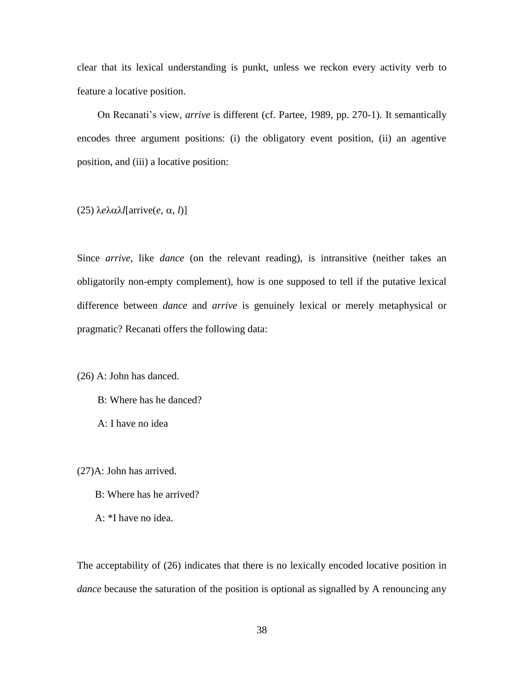clear that its lexical understanding is punkt, unless we reckon every activity verb to feature a locative position.

 On Recanati's view, *arrive* is different (cf. Partee, 1989, pp. 270-1). It semantically encodes three argument positions: (i) the obligatory event position, (ii) an agentive position, and (iii) a locative position:

(25) λ*e*λαλ*l*[arrive(*e*, α, *l*)]

Since *arrive*, like *dance* (on the relevant reading), is intransitive (neither takes an obligatorily non-empty complement), how is one supposed to tell if the putative lexical difference between *dance* and *arrive* is genuinely lexical or merely metaphysical or pragmatic? Recanati offers the following data:

(26) A: John has danced.

- B: Where has he danced?
- A: I have no idea

(27)A: John has arrived.

- B: Where has he arrived?
- A: \*I have no idea.

The acceptability of (26) indicates that there is no lexically encoded locative position in *dance* because the saturation of the position is optional as signalled by A renouncing any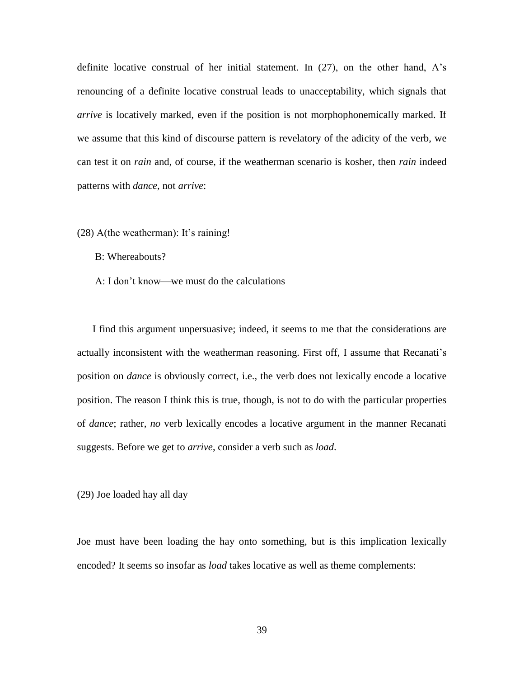definite locative construal of her initial statement. In  $(27)$ , on the other hand, A's renouncing of a definite locative construal leads to unacceptability, which signals that *arrive* is locatively marked, even if the position is not morphophonemically marked. If we assume that this kind of discourse pattern is revelatory of the adicity of the verb, we can test it on *rain* and, of course, if the weatherman scenario is kosher, then *rain* indeed patterns with *dance*, not *arrive*:

- (28) A(the weatherman): It's raining!
	- B: Whereabouts?
	- A: I don't know—we must do the calculations

 I find this argument unpersuasive; indeed, it seems to me that the considerations are actually inconsistent with the weatherman reasoning. First off, I assume that Recanati's position on *dance* is obviously correct, i.e., the verb does not lexically encode a locative position. The reason I think this is true, though, is not to do with the particular properties of *dance*; rather, *no* verb lexically encodes a locative argument in the manner Recanati suggests. Before we get to *arrive*, consider a verb such as *load*.

(29) Joe loaded hay all day

Joe must have been loading the hay onto something, but is this implication lexically encoded? It seems so insofar as *load* takes locative as well as theme complements: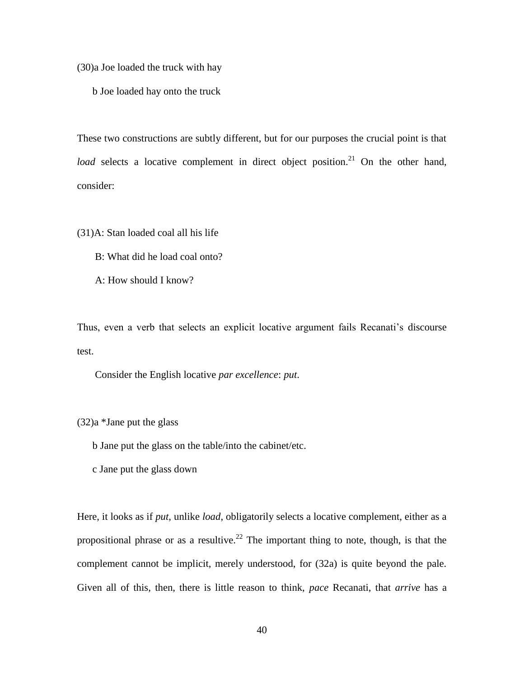(30)a Joe loaded the truck with hay

b Joe loaded hay onto the truck

These two constructions are subtly different, but for our purposes the crucial point is that *load* selects a locative complement in direct object position.<sup>21</sup> On the other hand, consider:

(31)A: Stan loaded coal all his life

B: What did he load coal onto?

A: How should I know?

Thus, even a verb that selects an explicit locative argument fails Recanati's discourse test.

Consider the English locative *par excellence*: *put*.

(32)a \*Jane put the glass

b Jane put the glass on the table/into the cabinet/etc.

c Jane put the glass down

Here, it looks as if *put*, unlike *load*, obligatorily selects a locative complement, either as a propositional phrase or as a resultive.<sup>22</sup> The important thing to note, though, is that the complement cannot be implicit, merely understood, for (32a) is quite beyond the pale. Given all of this, then, there is little reason to think, *pace* Recanati, that *arrive* has a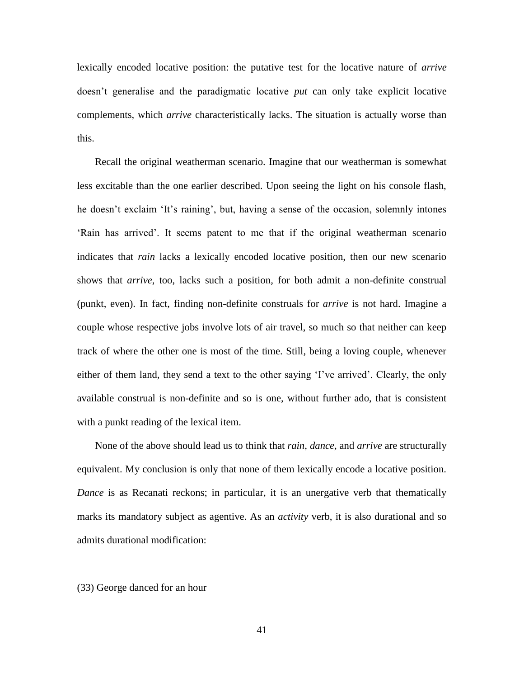lexically encoded locative position: the putative test for the locative nature of *arrive* doesn't generalise and the paradigmatic locative *put* can only take explicit locative complements, which *arrive* characteristically lacks. The situation is actually worse than this.

 Recall the original weatherman scenario. Imagine that our weatherman is somewhat less excitable than the one earlier described. Upon seeing the light on his console flash, he doesn't exclaim 'It's raining', but, having a sense of the occasion, solemnly intones 'Rain has arrived'. It seems patent to me that if the original weatherman scenario indicates that *rain* lacks a lexically encoded locative position, then our new scenario shows that *arrive*, too, lacks such a position, for both admit a non-definite construal (punkt, even). In fact, finding non-definite construals for *arrive* is not hard. Imagine a couple whose respective jobs involve lots of air travel, so much so that neither can keep track of where the other one is most of the time. Still, being a loving couple, whenever either of them land, they send a text to the other saying 'I've arrived'. Clearly, the only available construal is non-definite and so is one, without further ado, that is consistent with a punkt reading of the lexical item.

 None of the above should lead us to think that *rain*, *dance*, and *arrive* are structurally equivalent. My conclusion is only that none of them lexically encode a locative position. *Dance* is as Recanati reckons; in particular, it is an unergative verb that thematically marks its mandatory subject as agentive. As an *activity* verb, it is also durational and so admits durational modification:

# (33) George danced for an hour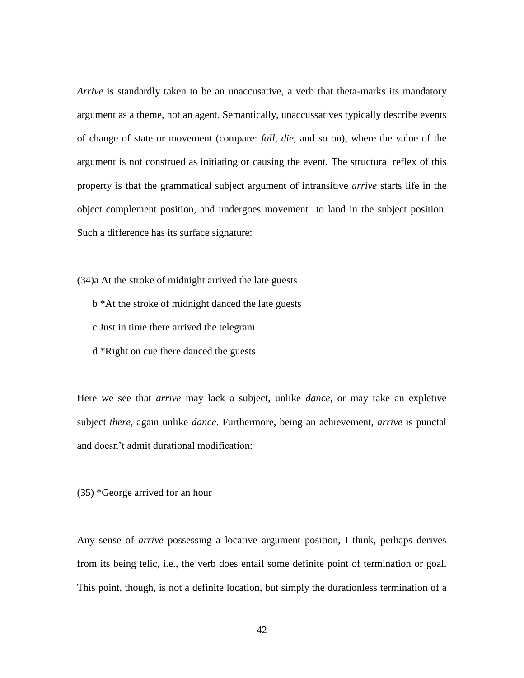*Arrive* is standardly taken to be an unaccusative, a verb that theta-marks its mandatory argument as a theme, not an agent. Semantically, unaccussatives typically describe events of change of state or movement (compare: *fall*, *die*, and so on), where the value of the argument is not construed as initiating or causing the event. The structural reflex of this property is that the grammatical subject argument of intransitive *arrive* starts life in the object complement position, and undergoes movement to land in the subject position. Such a difference has its surface signature:

(34)a At the stroke of midnight arrived the late guests

 b \*At the stroke of midnight danced the late guests c Just in time there arrived the telegram d \*Right on cue there danced the guests

Here we see that *arrive* may lack a subject, unlike *dance*, or may take an expletive subject *there*, again unlike *dance*. Furthermore, being an achievement, *arrive* is punctal and doesn't admit durational modification:

(35) \*George arrived for an hour

Any sense of *arrive* possessing a locative argument position, I think, perhaps derives from its being telic, i.e., the verb does entail some definite point of termination or goal. This point, though, is not a definite location, but simply the durationless termination of a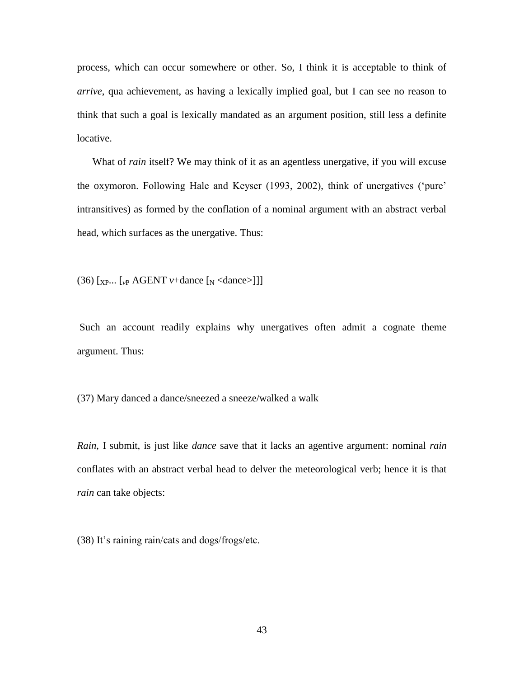process, which can occur somewhere or other. So, I think it is acceptable to think of *arrive*, qua achievement, as having a lexically implied goal, but I can see no reason to think that such a goal is lexically mandated as an argument position, still less a definite locative.

What of *rain* itself? We may think of it as an agentless unergative, if you will excuse the oxymoron. Following Hale and Keyser (1993, 2002), think of unergatives ('pure' intransitives) as formed by the conflation of a nominal argument with an abstract verbal head, which surfaces as the unergative. Thus:

 $(36)$  [xp... [ $_{v}$ P AGENT  $v$ +dance [ $_{N}$  <dance>]]]

Such an account readily explains why unergatives often admit a cognate theme argument. Thus:

(37) Mary danced a dance/sneezed a sneeze/walked a walk

*Rain*, I submit, is just like *dance* save that it lacks an agentive argument: nominal *rain* conflates with an abstract verbal head to delver the meteorological verb; hence it is that *rain* can take objects:

(38) It's raining rain/cats and dogs/frogs/etc.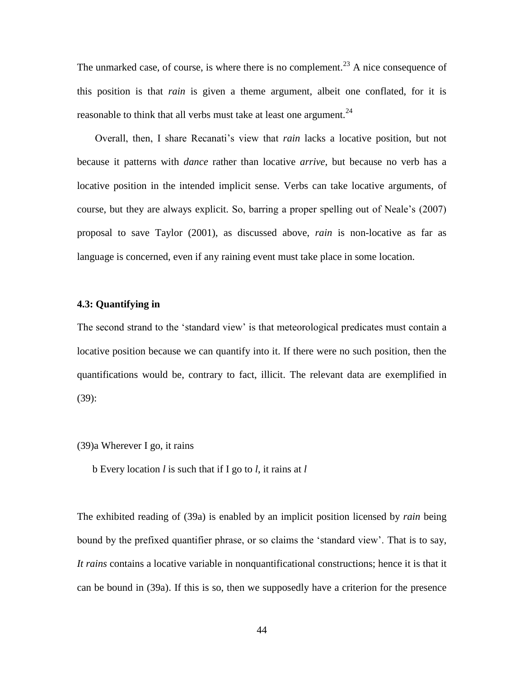The unmarked case, of course, is where there is no complement.<sup>23</sup> A nice consequence of this position is that *rain* is given a theme argument, albeit one conflated, for it is reasonable to think that all verbs must take at least one argument.  $24$ 

 Overall, then, I share Recanati's view that *rain* lacks a locative position, but not because it patterns with *dance* rather than locative *arrive*, but because no verb has a locative position in the intended implicit sense. Verbs can take locative arguments, of course, but they are always explicit. So, barring a proper spelling out of Neale's (2007) proposal to save Taylor (2001), as discussed above, *rain* is non-locative as far as language is concerned, even if any raining event must take place in some location.

# **4.3: Quantifying in**

The second strand to the 'standard view' is that meteorological predicates must contain a locative position because we can quantify into it. If there were no such position, then the quantifications would be, contrary to fact, illicit. The relevant data are exemplified in (39):

#### (39)a Wherever I go, it rains

b Every location *l* is such that if I go to *l*, it rains at *l*

The exhibited reading of (39a) is enabled by an implicit position licensed by *rain* being bound by the prefixed quantifier phrase, or so claims the 'standard view'. That is to say, *It rains* contains a locative variable in nonquantificational constructions; hence it is that it can be bound in (39a). If this is so, then we supposedly have a criterion for the presence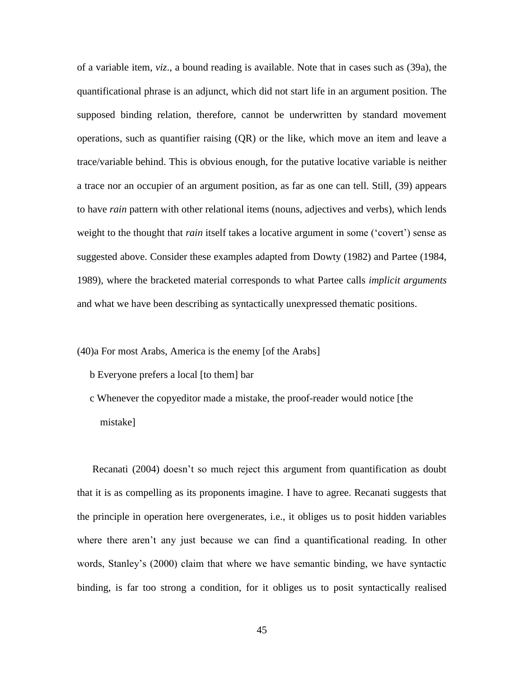of a variable item, *viz*., a bound reading is available. Note that in cases such as (39a), the quantificational phrase is an adjunct, which did not start life in an argument position. The supposed binding relation, therefore, cannot be underwritten by standard movement operations, such as quantifier raising (QR) or the like, which move an item and leave a trace/variable behind. This is obvious enough, for the putative locative variable is neither a trace nor an occupier of an argument position, as far as one can tell. Still, (39) appears to have *rain* pattern with other relational items (nouns, adjectives and verbs), which lends weight to the thought that *rain* itself takes a locative argument in some ('covert') sense as suggested above. Consider these examples adapted from Dowty (1982) and Partee (1984, 1989), where the bracketed material corresponds to what Partee calls *implicit arguments* and what we have been describing as syntactically unexpressed thematic positions.

(40)a For most Arabs, America is the enemy [of the Arabs]

- b Everyone prefers a local [to them] bar
- c Whenever the copyeditor made a mistake, the proof-reader would notice [the mistake]

 Recanati (2004) doesn't so much reject this argument from quantification as doubt that it is as compelling as its proponents imagine. I have to agree. Recanati suggests that the principle in operation here overgenerates, i.e., it obliges us to posit hidden variables where there aren't any just because we can find a quantificational reading. In other words, Stanley's (2000) claim that where we have semantic binding, we have syntactic binding, is far too strong a condition, for it obliges us to posit syntactically realised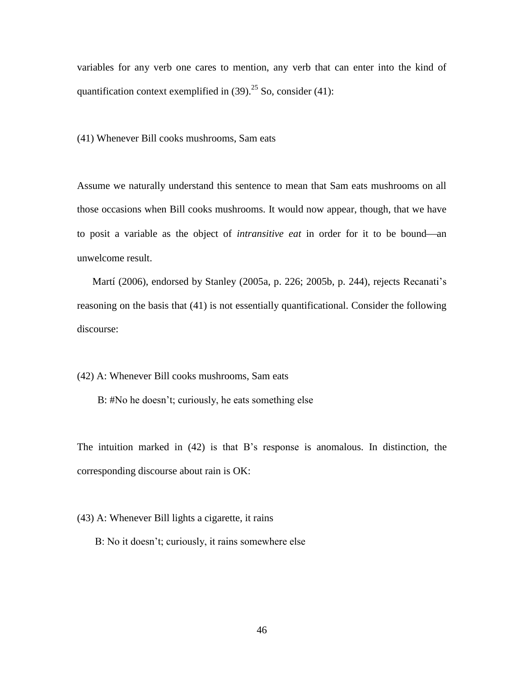variables for any verb one cares to mention, any verb that can enter into the kind of quantification context exemplified in  $(39)$ .<sup>25</sup> So, consider (41):

(41) Whenever Bill cooks mushrooms, Sam eats

Assume we naturally understand this sentence to mean that Sam eats mushrooms on all those occasions when Bill cooks mushrooms. It would now appear, though, that we have to posit a variable as the object of *intransitive eat* in order for it to be bound—an unwelcome result.

 Martí (2006), endorsed by Stanley (2005a, p. 226; 2005b, p. 244), rejects Recanati's reasoning on the basis that (41) is not essentially quantificational. Consider the following discourse:

(42) A: Whenever Bill cooks mushrooms, Sam eats

B: #No he doesn't; curiously, he eats something else

The intuition marked in (42) is that B's response is anomalous. In distinction, the corresponding discourse about rain is OK:

## (43) A: Whenever Bill lights a cigarette, it rains

B: No it doesn't; curiously, it rains somewhere else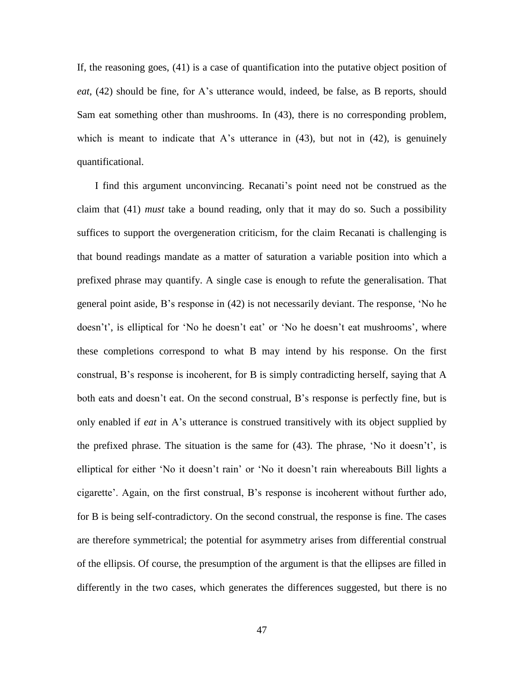If, the reasoning goes, (41) is a case of quantification into the putative object position of *eat*, (42) should be fine, for A's utterance would, indeed, be false, as B reports, should Sam eat something other than mushrooms. In (43), there is no corresponding problem, which is meant to indicate that A's utterance in  $(43)$ , but not in  $(42)$ , is genuinely quantificational.

 I find this argument unconvincing. Recanati's point need not be construed as the claim that (41) *must* take a bound reading, only that it may do so. Such a possibility suffices to support the overgeneration criticism, for the claim Recanati is challenging is that bound readings mandate as a matter of saturation a variable position into which a prefixed phrase may quantify. A single case is enough to refute the generalisation. That general point aside, B's response in (42) is not necessarily deviant. The response, 'No he doesn't', is elliptical for 'No he doesn't eat' or 'No he doesn't eat mushrooms', where these completions correspond to what B may intend by his response. On the first construal, B's response is incoherent, for B is simply contradicting herself, saying that A both eats and doesn't eat. On the second construal, B's response is perfectly fine, but is only enabled if *eat* in A's utterance is construed transitively with its object supplied by the prefixed phrase. The situation is the same for  $(43)$ . The phrase, 'No it doesn't', is elliptical for either 'No it doesn't rain' or 'No it doesn't rain whereabouts Bill lights a cigarette'. Again, on the first construal, B's response is incoherent without further ado, for B is being self-contradictory. On the second construal, the response is fine. The cases are therefore symmetrical; the potential for asymmetry arises from differential construal of the ellipsis. Of course, the presumption of the argument is that the ellipses are filled in differently in the two cases, which generates the differences suggested, but there is no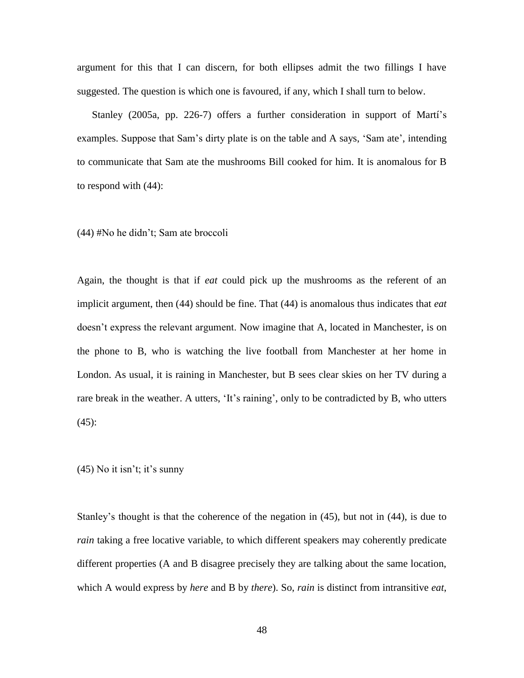argument for this that I can discern, for both ellipses admit the two fillings I have suggested. The question is which one is favoured, if any, which I shall turn to below.

 Stanley (2005a, pp. 226-7) offers a further consideration in support of Martí's examples. Suppose that Sam's dirty plate is on the table and A says, 'Sam ate', intending to communicate that Sam ate the mushrooms Bill cooked for him. It is anomalous for B to respond with (44):

# (44) #No he didn't; Sam ate broccoli

Again, the thought is that if *eat* could pick up the mushrooms as the referent of an implicit argument, then (44) should be fine. That (44) is anomalous thus indicates that *eat* doesn't express the relevant argument. Now imagine that A, located in Manchester, is on the phone to B, who is watching the live football from Manchester at her home in London. As usual, it is raining in Manchester, but B sees clear skies on her TV during a rare break in the weather. A utters, 'It's raining', only to be contradicted by B, who utters  $(45)$ :

(45) No it isn't; it's sunny

Stanley's thought is that the coherence of the negation in (45), but not in (44), is due to *rain* taking a free locative variable, to which different speakers may coherently predicate different properties (A and B disagree precisely they are talking about the same location, which A would express by *here* and B by *there*). So, *rain* is distinct from intransitive *eat*,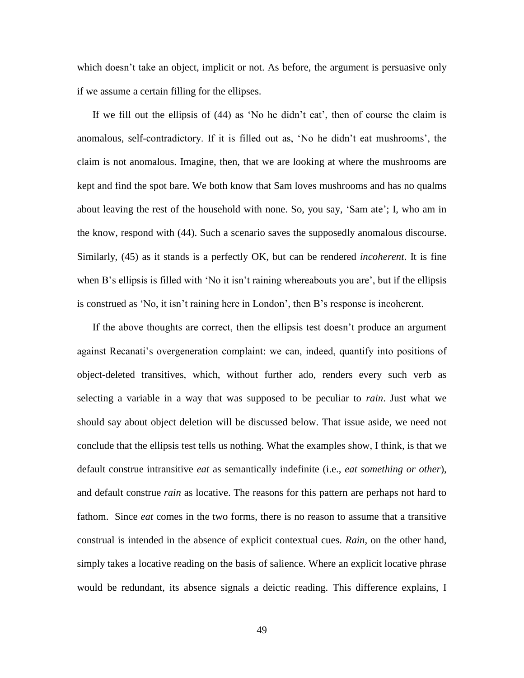which doesn't take an object, implicit or not. As before, the argument is persuasive only if we assume a certain filling for the ellipses.

 If we fill out the ellipsis of (44) as 'No he didn't eat', then of course the claim is anomalous, self-contradictory. If it is filled out as, 'No he didn't eat mushrooms', the claim is not anomalous. Imagine, then, that we are looking at where the mushrooms are kept and find the spot bare. We both know that Sam loves mushrooms and has no qualms about leaving the rest of the household with none. So, you say, 'Sam ate'; I, who am in the know, respond with (44). Such a scenario saves the supposedly anomalous discourse. Similarly, (45) as it stands is a perfectly OK, but can be rendered *incoherent*. It is fine when B's ellipsis is filled with 'No it isn't raining whereabouts you are', but if the ellipsis is construed as 'No, it isn't raining here in London', then B's response is incoherent.

 If the above thoughts are correct, then the ellipsis test doesn't produce an argument against Recanati's overgeneration complaint: we can, indeed, quantify into positions of object-deleted transitives, which, without further ado, renders every such verb as selecting a variable in a way that was supposed to be peculiar to *rain*. Just what we should say about object deletion will be discussed below. That issue aside, we need not conclude that the ellipsis test tells us nothing. What the examples show, I think, is that we default construe intransitive *eat* as semantically indefinite (i.e., *eat something or other*), and default construe *rain* as locative. The reasons for this pattern are perhaps not hard to fathom. Since *eat* comes in the two forms, there is no reason to assume that a transitive construal is intended in the absence of explicit contextual cues. *Rain*, on the other hand, simply takes a locative reading on the basis of salience. Where an explicit locative phrase would be redundant, its absence signals a deictic reading. This difference explains, I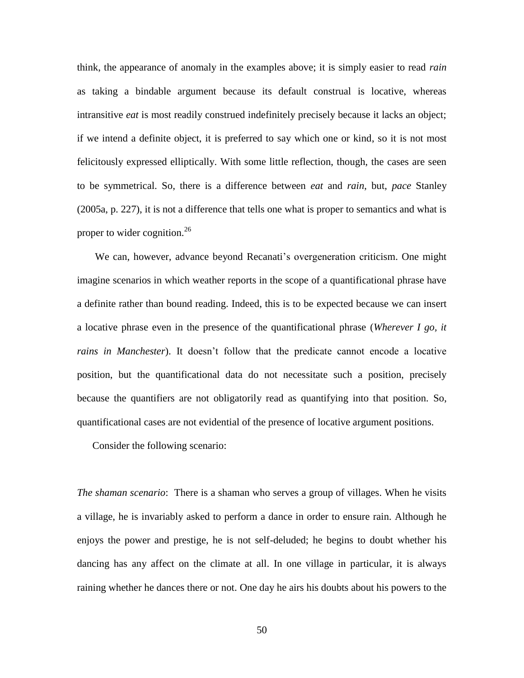think, the appearance of anomaly in the examples above; it is simply easier to read *rain* as taking a bindable argument because its default construal is locative, whereas intransitive *eat* is most readily construed indefinitely precisely because it lacks an object; if we intend a definite object, it is preferred to say which one or kind, so it is not most felicitously expressed elliptically. With some little reflection, though, the cases are seen to be symmetrical. So, there is a difference between *eat* and *rain*, but, *pace* Stanley (2005a, p. 227), it is not a difference that tells one what is proper to semantics and what is proper to wider cognition. $^{26}$ 

 We can, however, advance beyond Recanati's overgeneration criticism. One might imagine scenarios in which weather reports in the scope of a quantificational phrase have a definite rather than bound reading. Indeed, this is to be expected because we can insert a locative phrase even in the presence of the quantificational phrase (*Wherever I go, it rains in Manchester*). It doesn't follow that the predicate cannot encode a locative position, but the quantificational data do not necessitate such a position, precisely because the quantifiers are not obligatorily read as quantifying into that position. So, quantificational cases are not evidential of the presence of locative argument positions.

Consider the following scenario:

*The shaman scenario*: There is a shaman who serves a group of villages. When he visits a village, he is invariably asked to perform a dance in order to ensure rain. Although he enjoys the power and prestige, he is not self-deluded; he begins to doubt whether his dancing has any affect on the climate at all. In one village in particular, it is always raining whether he dances there or not. One day he airs his doubts about his powers to the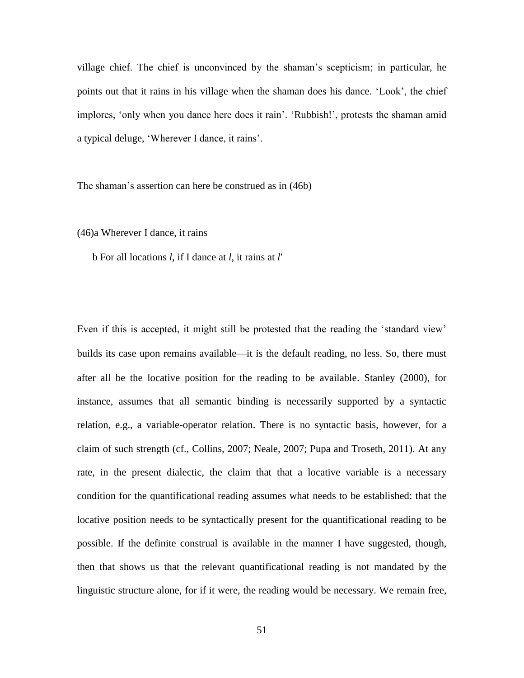village chief. The chief is unconvinced by the shaman's scepticism; in particular, he points out that it rains in his village when the shaman does his dance. 'Look', the chief implores, 'only when you dance here does it rain'. 'Rubbish!', protests the shaman amid a typical deluge, 'Wherever I dance, it rains'.

The shaman's assertion can here be construed as in (46b)

(46)a Wherever I dance, it rains

b For all locations *l*, if I dance at *l*, it rains at *l*

Even if this is accepted, it might still be protested that the reading the 'standard view' builds its case upon remains available—it is the default reading, no less. So, there must after all be the locative position for the reading to be available. Stanley (2000), for instance, assumes that all semantic binding is necessarily supported by a syntactic relation, e.g., a variable-operator relation. There is no syntactic basis, however, for a claim of such strength (cf., Collins, 2007; Neale, 2007; Pupa and Troseth, 2011). At any rate, in the present dialectic, the claim that that a locative variable is a necessary condition for the quantificational reading assumes what needs to be established: that the locative position needs to be syntactically present for the quantificational reading to be possible. If the definite construal is available in the manner I have suggested, though, then that shows us that the relevant quantificational reading is not mandated by the linguistic structure alone, for if it were, the reading would be necessary. We remain free,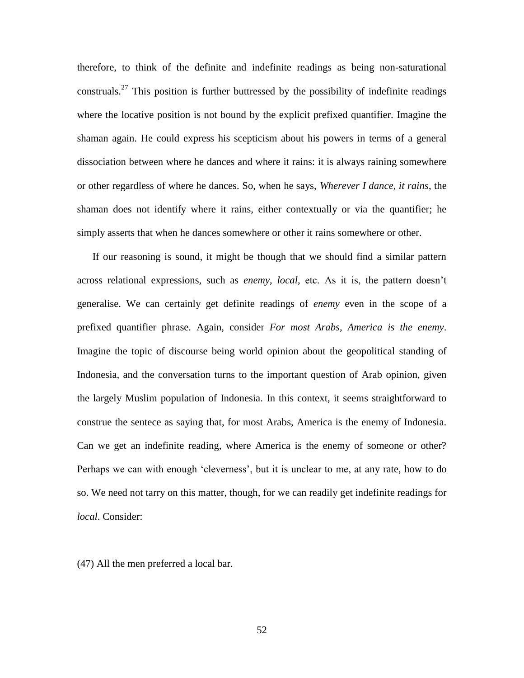therefore, to think of the definite and indefinite readings as being non-saturational construals.<sup>27</sup> This position is further buttressed by the possibility of indefinite readings where the locative position is not bound by the explicit prefixed quantifier. Imagine the shaman again. He could express his scepticism about his powers in terms of a general dissociation between where he dances and where it rains: it is always raining somewhere or other regardless of where he dances. So, when he says, *Wherever I dance, it rains*, the shaman does not identify where it rains, either contextually or via the quantifier; he simply asserts that when he dances somewhere or other it rains somewhere or other.

 If our reasoning is sound, it might be though that we should find a similar pattern across relational expressions, such as *enemy*, *local*, etc. As it is, the pattern doesn't generalise. We can certainly get definite readings of *enemy* even in the scope of a prefixed quantifier phrase. Again, consider *For most Arabs, America is the enemy*. Imagine the topic of discourse being world opinion about the geopolitical standing of Indonesia, and the conversation turns to the important question of Arab opinion, given the largely Muslim population of Indonesia. In this context, it seems straightforward to construe the sentece as saying that, for most Arabs, America is the enemy of Indonesia. Can we get an indefinite reading, where America is the enemy of someone or other? Perhaps we can with enough 'cleverness', but it is unclear to me, at any rate, how to do so. We need not tarry on this matter, though, for we can readily get indefinite readings for *local*. Consider:

(47) All the men preferred a local bar.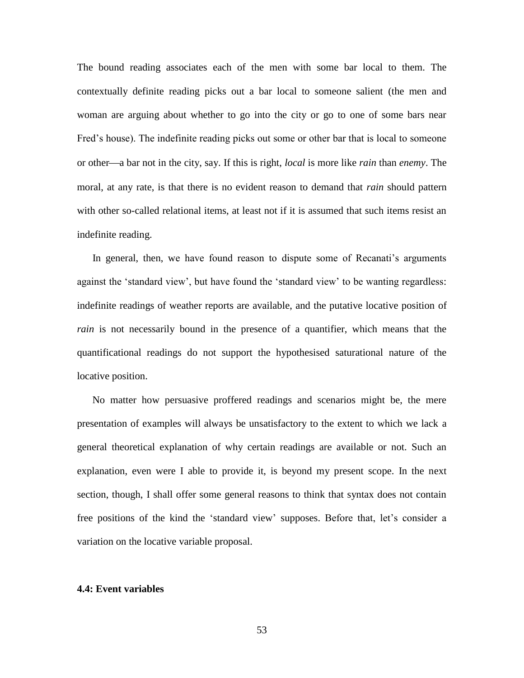The bound reading associates each of the men with some bar local to them. The contextually definite reading picks out a bar local to someone salient (the men and woman are arguing about whether to go into the city or go to one of some bars near Fred's house). The indefinite reading picks out some or other bar that is local to someone or other—a bar not in the city, say. If this is right, *local* is more like *rain* than *enemy*. The moral, at any rate, is that there is no evident reason to demand that *rain* should pattern with other so-called relational items, at least not if it is assumed that such items resist an indefinite reading.

 In general, then, we have found reason to dispute some of Recanati's arguments against the 'standard view', but have found the 'standard view' to be wanting regardless: indefinite readings of weather reports are available, and the putative locative position of *rain* is not necessarily bound in the presence of a quantifier, which means that the quantificational readings do not support the hypothesised saturational nature of the locative position.

 No matter how persuasive proffered readings and scenarios might be, the mere presentation of examples will always be unsatisfactory to the extent to which we lack a general theoretical explanation of why certain readings are available or not. Such an explanation, even were I able to provide it, is beyond my present scope. In the next section, though, I shall offer some general reasons to think that syntax does not contain free positions of the kind the 'standard view' supposes. Before that, let's consider a variation on the locative variable proposal.

## **4.4: Event variables**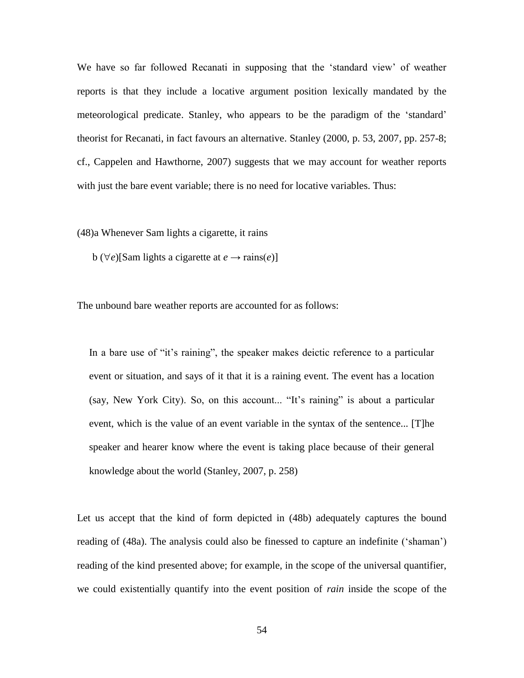We have so far followed Recanati in supposing that the 'standard view' of weather reports is that they include a locative argument position lexically mandated by the meteorological predicate. Stanley, who appears to be the paradigm of the 'standard' theorist for Recanati, in fact favours an alternative. Stanley (2000, p. 53, 2007, pp. 257-8; cf., Cappelen and Hawthorne, 2007) suggests that we may account for weather reports with just the bare event variable; there is no need for locative variables. Thus:

(48)a Whenever Sam lights a cigarette, it rains

 $b \left(\forall e \right)$ [Sam lights a cigarette at  $e \rightarrow \text{rains}(e)$ ]

The unbound bare weather reports are accounted for as follows:

In a bare use of "it's raining", the speaker makes deictic reference to a particular event or situation, and says of it that it is a raining event. The event has a location (say, New York City). So, on this account... "It's raining" is about a particular event, which is the value of an event variable in the syntax of the sentence... [T]he speaker and hearer know where the event is taking place because of their general knowledge about the world (Stanley, 2007, p. 258)

Let us accept that the kind of form depicted in (48b) adequately captures the bound reading of (48a). The analysis could also be finessed to capture an indefinite ('shaman') reading of the kind presented above; for example, in the scope of the universal quantifier, we could existentially quantify into the event position of *rain* inside the scope of the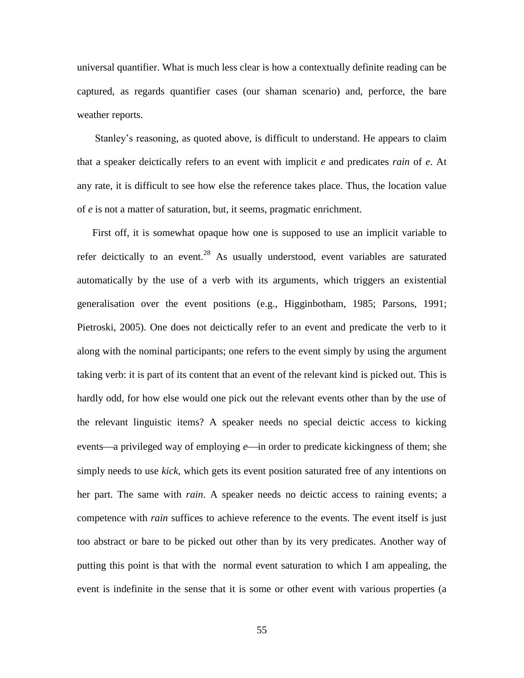universal quantifier. What is much less clear is how a contextually definite reading can be captured, as regards quantifier cases (our shaman scenario) and, perforce, the bare weather reports.

 Stanley's reasoning, as quoted above, is difficult to understand. He appears to claim that a speaker deictically refers to an event with implicit *e* and predicates *rain* of *e*. At any rate, it is difficult to see how else the reference takes place. Thus, the location value of *e* is not a matter of saturation, but, it seems, pragmatic enrichment.

 First off, it is somewhat opaque how one is supposed to use an implicit variable to refer deictically to an event.<sup>28</sup> As usually understood, event variables are saturated automatically by the use of a verb with its arguments, which triggers an existential generalisation over the event positions (e.g., Higginbotham, 1985; Parsons, 1991; Pietroski, 2005). One does not deictically refer to an event and predicate the verb to it along with the nominal participants; one refers to the event simply by using the argument taking verb: it is part of its content that an event of the relevant kind is picked out. This is hardly odd, for how else would one pick out the relevant events other than by the use of the relevant linguistic items? A speaker needs no special deictic access to kicking events—a privileged way of employing *e*—in order to predicate kickingness of them; she simply needs to use *kick*, which gets its event position saturated free of any intentions on her part. The same with *rain*. A speaker needs no deictic access to raining events; a competence with *rain* suffices to achieve reference to the events. The event itself is just too abstract or bare to be picked out other than by its very predicates. Another way of putting this point is that with the normal event saturation to which I am appealing, the event is indefinite in the sense that it is some or other event with various properties (a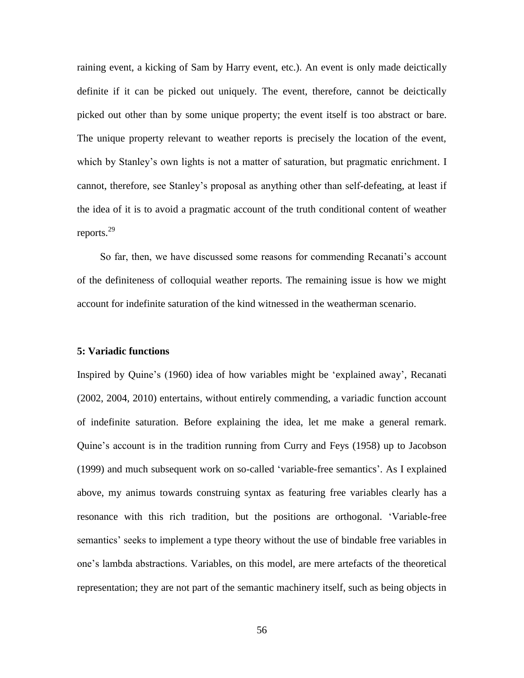raining event, a kicking of Sam by Harry event, etc.). An event is only made deictically definite if it can be picked out uniquely. The event, therefore, cannot be deictically picked out other than by some unique property; the event itself is too abstract or bare. The unique property relevant to weather reports is precisely the location of the event, which by Stanley's own lights is not a matter of saturation, but pragmatic enrichment. I cannot, therefore, see Stanley's proposal as anything other than self-defeating, at least if the idea of it is to avoid a pragmatic account of the truth conditional content of weather reports.<sup>29</sup>

 So far, then, we have discussed some reasons for commending Recanati's account of the definiteness of colloquial weather reports. The remaining issue is how we might account for indefinite saturation of the kind witnessed in the weatherman scenario.

## **5: Variadic functions**

Inspired by Quine's (1960) idea of how variables might be 'explained away', Recanati (2002, 2004, 2010) entertains, without entirely commending, a variadic function account of indefinite saturation. Before explaining the idea, let me make a general remark. Quine's account is in the tradition running from Curry and Feys (1958) up to Jacobson (1999) and much subsequent work on so-called 'variable-free semantics'. As I explained above, my animus towards construing syntax as featuring free variables clearly has a resonance with this rich tradition, but the positions are orthogonal. 'Variable-free semantics' seeks to implement a type theory without the use of bindable free variables in one's lambda abstractions. Variables, on this model, are mere artefacts of the theoretical representation; they are not part of the semantic machinery itself, such as being objects in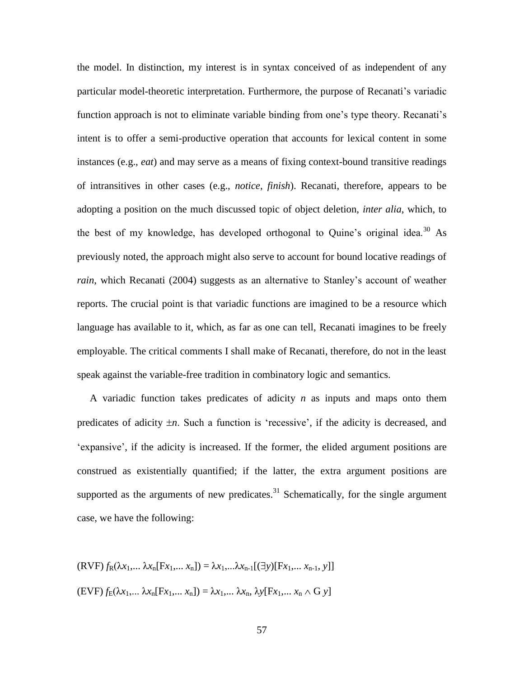the model. In distinction, my interest is in syntax conceived of as independent of any particular model-theoretic interpretation. Furthermore, the purpose of Recanati's variadic function approach is not to eliminate variable binding from one's type theory. Recanati's intent is to offer a semi-productive operation that accounts for lexical content in some instances (e.g., *eat*) and may serve as a means of fixing context-bound transitive readings of intransitives in other cases (e.g., *notice*, *finish*). Recanati, therefore, appears to be adopting a position on the much discussed topic of object deletion, *inter alia*, which, to the best of my knowledge, has developed orthogonal to Quine's original idea.<sup>30</sup> As previously noted, the approach might also serve to account for bound locative readings of *rain*, which Recanati (2004) suggests as an alternative to Stanley's account of weather reports. The crucial point is that variadic functions are imagined to be a resource which language has available to it, which, as far as one can tell, Recanati imagines to be freely employable. The critical comments I shall make of Recanati, therefore, do not in the least speak against the variable-free tradition in combinatory logic and semantics.

 A variadic function takes predicates of adicity *n* as inputs and maps onto them predicates of adicity  $\pm n$ . Such a function is 'recessive', if the adicity is decreased, and 'expansive', if the adicity is increased. If the former, the elided argument positions are construed as existentially quantified; if the latter, the extra argument positions are supported as the arguments of new predicates.<sup>31</sup> Schematically, for the single argument case, we have the following:

 $(RVF) f_R(\lambda x_1,... \lambda x_n [Fx_1,... x_n]) = \lambda x_1,... \lambda x_{n-1}[(\exists y)[Fx_1,... x_{n-1}, y]]$  $(EVF) f_{E}(\lambda x_{1}, \dots \lambda x_{n}[Fx_{1}, \dots x_{n}]) = \lambda x_{1}, \dots \lambda x_{n}, \lambda y [Fx_{1}, \dots x_{n} \wedge G y]$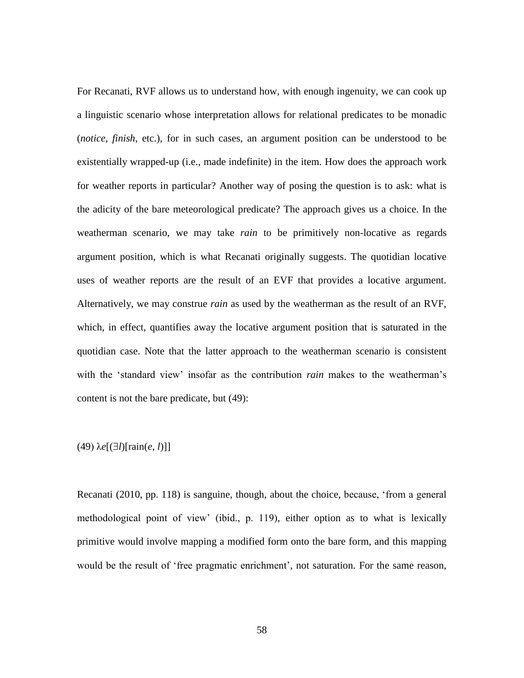For Recanati, RVF allows us to understand how, with enough ingenuity, we can cook up a linguistic scenario whose interpretation allows for relational predicates to be monadic (*notice*, *finish*, etc.), for in such cases, an argument position can be understood to be existentially wrapped-up (i.e., made indefinite) in the item. How does the approach work for weather reports in particular? Another way of posing the question is to ask: what is the adicity of the bare meteorological predicate? The approach gives us a choice. In the weatherman scenario, we may take *rain* to be primitively non-locative as regards argument position, which is what Recanati originally suggests. The quotidian locative uses of weather reports are the result of an EVF that provides a locative argument. Alternatively, we may construe *rain* as used by the weatherman as the result of an RVF, which, in effect, quantifies away the locative argument position that is saturated in the quotidian case. Note that the latter approach to the weatherman scenario is consistent with the 'standard view' insofar as the contribution *rain* makes to the weatherman's content is not the bare predicate, but (49):

 $(49)$   $\lambda e[(\exists l)[\text{rain}(e, l)]]$ 

Recanati (2010, pp. 118) is sanguine, though, about the choice, because, 'from a general methodological point of view' (ibid., p. 119), either option as to what is lexically primitive would involve mapping a modified form onto the bare form, and this mapping would be the result of 'free pragmatic enrichment', not saturation. For the same reason,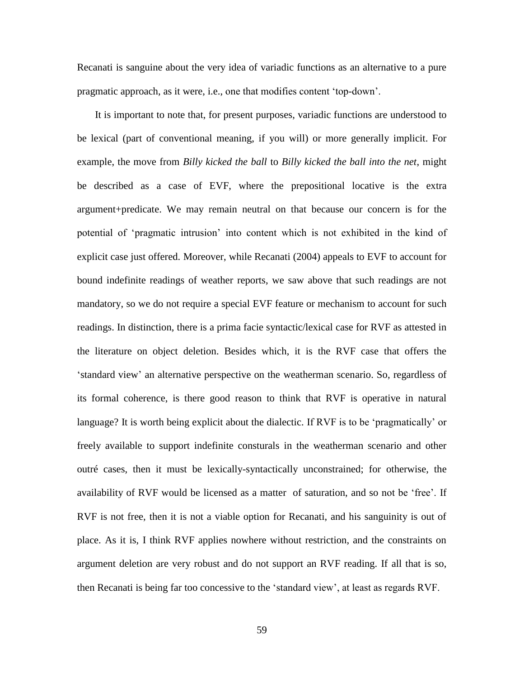Recanati is sanguine about the very idea of variadic functions as an alternative to a pure pragmatic approach, as it were, i.e., one that modifies content 'top-down'.

 It is important to note that, for present purposes, variadic functions are understood to be lexical (part of conventional meaning, if you will) or more generally implicit. For example, the move from *Billy kicked the ball* to *Billy kicked the ball into the net*, might be described as a case of EVF, where the prepositional locative is the extra argument+predicate. We may remain neutral on that because our concern is for the potential of 'pragmatic intrusion' into content which is not exhibited in the kind of explicit case just offered. Moreover, while Recanati (2004) appeals to EVF to account for bound indefinite readings of weather reports, we saw above that such readings are not mandatory, so we do not require a special EVF feature or mechanism to account for such readings. In distinction, there is a prima facie syntactic/lexical case for RVF as attested in the literature on object deletion. Besides which, it is the RVF case that offers the 'standard view' an alternative perspective on the weatherman scenario. So, regardless of its formal coherence, is there good reason to think that RVF is operative in natural language? It is worth being explicit about the dialectic. If RVF is to be 'pragmatically' or freely available to support indefinite consturals in the weatherman scenario and other outré cases, then it must be lexically-syntactically unconstrained; for otherwise, the availability of RVF would be licensed as a matter of saturation, and so not be 'free'. If RVF is not free, then it is not a viable option for Recanati, and his sanguinity is out of place. As it is, I think RVF applies nowhere without restriction, and the constraints on argument deletion are very robust and do not support an RVF reading. If all that is so, then Recanati is being far too concessive to the 'standard view', at least as regards RVF.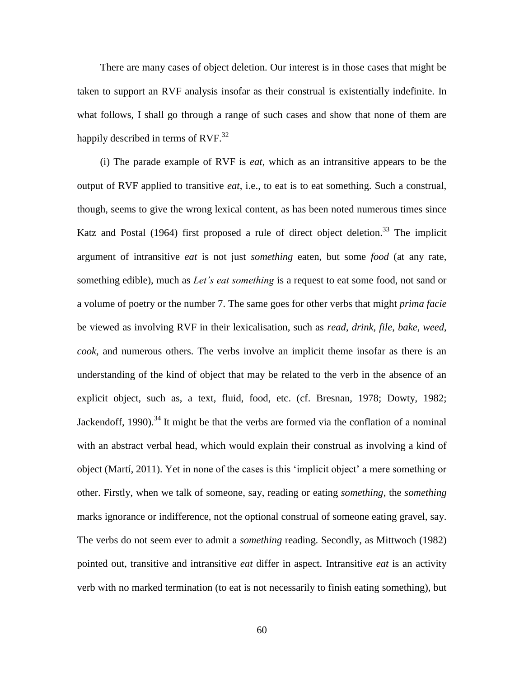There are many cases of object deletion. Our interest is in those cases that might be taken to support an RVF analysis insofar as their construal is existentially indefinite. In what follows, I shall go through a range of such cases and show that none of them are happily described in terms of  $RVF<sup>32</sup>$ 

 (i) The parade example of RVF is *eat*, which as an intransitive appears to be the output of RVF applied to transitive *eat*, i.e., to eat is to eat something. Such a construal, though, seems to give the wrong lexical content, as has been noted numerous times since Katz and Postal (1964) first proposed a rule of direct object deletion.<sup>33</sup> The implicit argument of intransitive *eat* is not just *something* eaten, but some *food* (at any rate, something edible), much as *Let's eat something* is a request to eat some food, not sand or a volume of poetry or the number 7. The same goes for other verbs that might *prima facie* be viewed as involving RVF in their lexicalisation, such as *read*, *drink*, *file*, *bake*, *weed*, *cook*, and numerous others. The verbs involve an implicit theme insofar as there is an understanding of the kind of object that may be related to the verb in the absence of an explicit object, such as, a text, fluid, food, etc. (cf. Bresnan, 1978; Dowty, 1982; Jackendoff, 1990).<sup>34</sup> It might be that the verbs are formed via the conflation of a nominal with an abstract verbal head, which would explain their construal as involving a kind of object (Martí, 2011). Yet in none of the cases is this 'implicit object' a mere something or other. Firstly, when we talk of someone, say, reading or eating *something*, the *something* marks ignorance or indifference, not the optional construal of someone eating gravel, say. The verbs do not seem ever to admit a *something* reading. Secondly, as Mittwoch (1982) pointed out, transitive and intransitive *eat* differ in aspect. Intransitive *eat* is an activity verb with no marked termination (to eat is not necessarily to finish eating something), but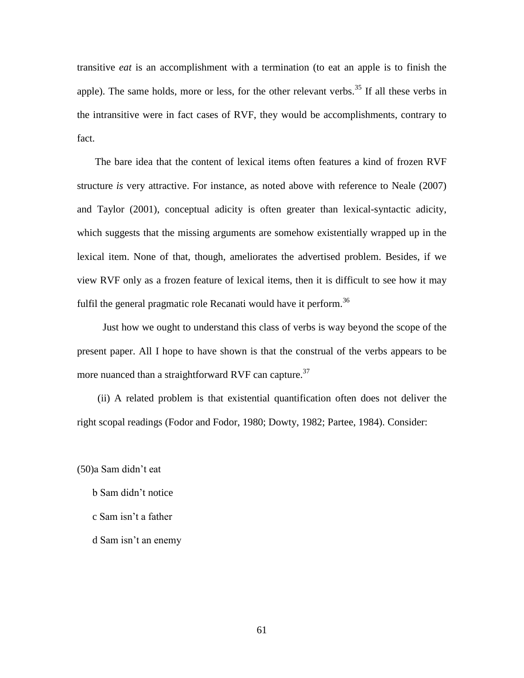transitive *eat* is an accomplishment with a termination (to eat an apple is to finish the apple). The same holds, more or less, for the other relevant verbs.<sup>35</sup> If all these verbs in the intransitive were in fact cases of RVF, they would be accomplishments, contrary to fact.

 The bare idea that the content of lexical items often features a kind of frozen RVF structure *is* very attractive. For instance, as noted above with reference to Neale (2007) and Taylor (2001), conceptual adicity is often greater than lexical-syntactic adicity, which suggests that the missing arguments are somehow existentially wrapped up in the lexical item. None of that, though, ameliorates the advertised problem. Besides, if we view RVF only as a frozen feature of lexical items, then it is difficult to see how it may fulfil the general pragmatic role Recanati would have it perform.<sup>36</sup>

 Just how we ought to understand this class of verbs is way beyond the scope of the present paper. All I hope to have shown is that the construal of the verbs appears to be more nuanced than a straightforward RVF can capture.<sup>37</sup>

 (ii) A related problem is that existential quantification often does not deliver the right scopal readings (Fodor and Fodor, 1980; Dowty, 1982; Partee, 1984). Consider:

(50)a Sam didn't eat

- b Sam didn't notice
- c Sam isn't a father
- d Sam isn't an enemy

61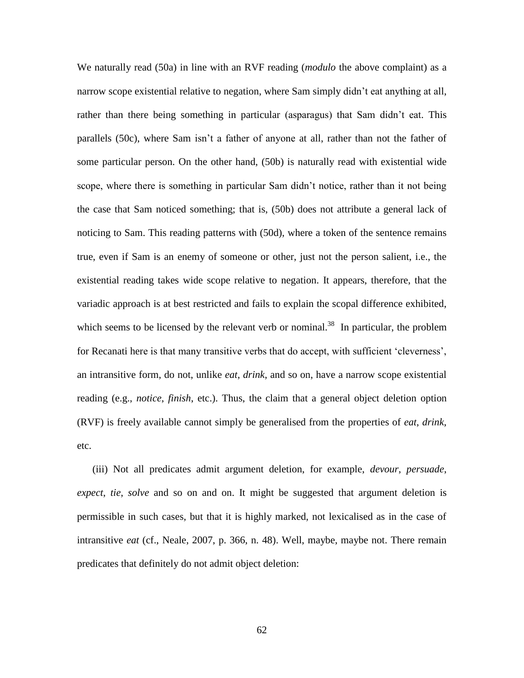We naturally read (50a) in line with an RVF reading (*modulo* the above complaint) as a narrow scope existential relative to negation, where Sam simply didn't eat anything at all, rather than there being something in particular (asparagus) that Sam didn't eat. This parallels (50c), where Sam isn't a father of anyone at all, rather than not the father of some particular person. On the other hand, (50b) is naturally read with existential wide scope, where there is something in particular Sam didn't notice, rather than it not being the case that Sam noticed something; that is, (50b) does not attribute a general lack of noticing to Sam. This reading patterns with (50d), where a token of the sentence remains true, even if Sam is an enemy of someone or other, just not the person salient, i.e., the existential reading takes wide scope relative to negation. It appears, therefore, that the variadic approach is at best restricted and fails to explain the scopal difference exhibited, which seems to be licensed by the relevant verb or nominal.<sup>38</sup> In particular, the problem for Recanati here is that many transitive verbs that do accept, with sufficient 'cleverness', an intransitive form, do not, unlike *eat*, *drink*, and so on, have a narrow scope existential reading (e.g., *notice*, *finish*, etc.). Thus, the claim that a general object deletion option (RVF) is freely available cannot simply be generalised from the properties of *eat*, *drink*, etc.

 (iii) Not all predicates admit argument deletion, for example, *devour*, *persuade*, *expect*, *tie*, *solve* and so on and on. It might be suggested that argument deletion is permissible in such cases, but that it is highly marked, not lexicalised as in the case of intransitive *eat* (cf., Neale, 2007, p. 366, n. 48). Well, maybe, maybe not. There remain predicates that definitely do not admit object deletion: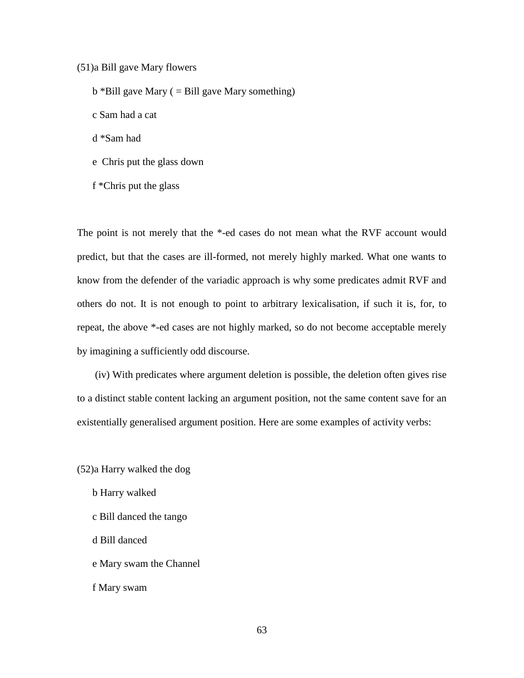## (51)a Bill gave Mary flowers

 $b *Bill gave Mary (= Bill gave Mary something)$ 

- c Sam had a cat
- d \*Sam had
- e Chris put the glass down
- f \*Chris put the glass

The point is not merely that the \*-ed cases do not mean what the RVF account would predict, but that the cases are ill-formed, not merely highly marked. What one wants to know from the defender of the variadic approach is why some predicates admit RVF and others do not. It is not enough to point to arbitrary lexicalisation, if such it is, for, to repeat, the above \*-ed cases are not highly marked, so do not become acceptable merely by imagining a sufficiently odd discourse.

 (iv) With predicates where argument deletion is possible, the deletion often gives rise to a distinct stable content lacking an argument position, not the same content save for an existentially generalised argument position. Here are some examples of activity verbs:

(52)a Harry walked the dog

- b Harry walked
- c Bill danced the tango
- d Bill danced
- e Mary swam the Channel

f Mary swam

63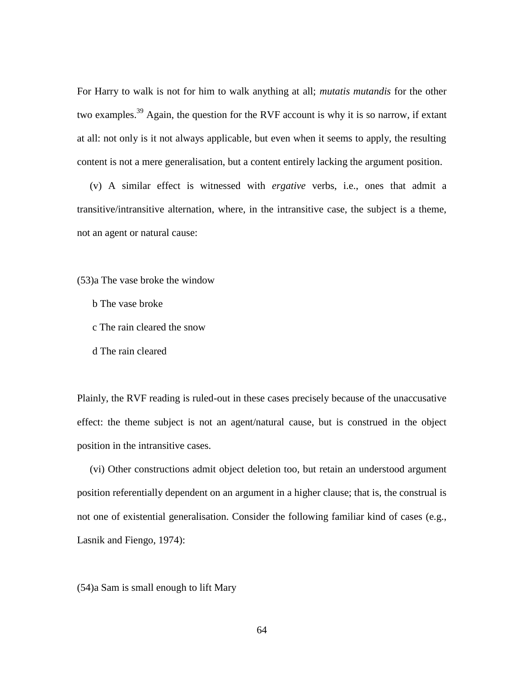For Harry to walk is not for him to walk anything at all; *mutatis mutandis* for the other two examples.<sup>39</sup> Again, the question for the RVF account is why it is so narrow, if extant at all: not only is it not always applicable, but even when it seems to apply, the resulting content is not a mere generalisation, but a content entirely lacking the argument position.

 (v) A similar effect is witnessed with *ergative* verbs, i.e., ones that admit a transitive/intransitive alternation, where, in the intransitive case, the subject is a theme, not an agent or natural cause:

(53)a The vase broke the window

- b The vase broke
- c The rain cleared the snow
- d The rain cleared

Plainly, the RVF reading is ruled-out in these cases precisely because of the unaccusative effect: the theme subject is not an agent/natural cause, but is construed in the object position in the intransitive cases.

 (vi) Other constructions admit object deletion too, but retain an understood argument position referentially dependent on an argument in a higher clause; that is, the construal is not one of existential generalisation. Consider the following familiar kind of cases (e.g., Lasnik and Fiengo, 1974):

(54)a Sam is small enough to lift Mary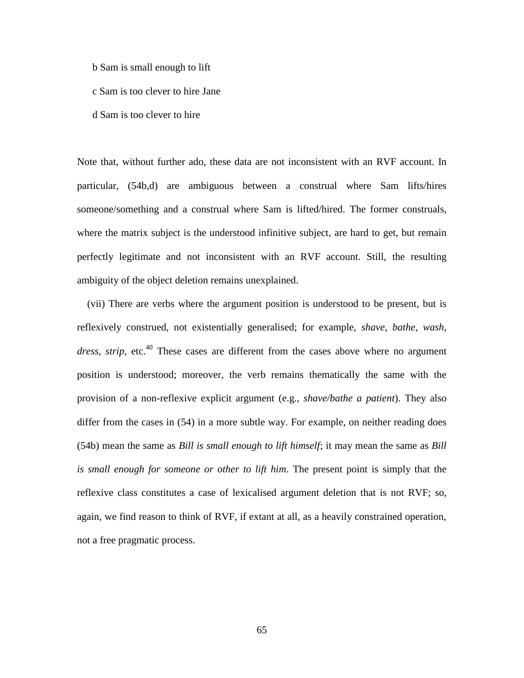b Sam is small enough to lift

c Sam is too clever to hire Jane

d Sam is too clever to hire

Note that, without further ado, these data are not inconsistent with an RVF account. In particular, (54b,d) are ambiguous between a construal where Sam lifts/hires someone/something and a construal where Sam is lifted/hired. The former construals, where the matrix subject is the understood infinitive subject, are hard to get, but remain perfectly legitimate and not inconsistent with an RVF account. Still, the resulting ambiguity of the object deletion remains unexplained.

 (vii) There are verbs where the argument position is understood to be present, but is reflexively construed, not existentially generalised; for example, *shave*, *bathe*, *wash*, *dress*, *strip*, etc.<sup>40</sup> These cases are different from the cases above where no argument position is understood; moreover, the verb remains thematically the same with the provision of a non-reflexive explicit argument (e.g., *shave/bathe a patient*). They also differ from the cases in (54) in a more subtle way. For example, on neither reading does (54b) mean the same as *Bill is small enough to lift himself*; it may mean the same as *Bill is small enough for someone or other to lift him*. The present point is simply that the reflexive class constitutes a case of lexicalised argument deletion that is not RVF; so, again, we find reason to think of RVF, if extant at all, as a heavily constrained operation, not a free pragmatic process.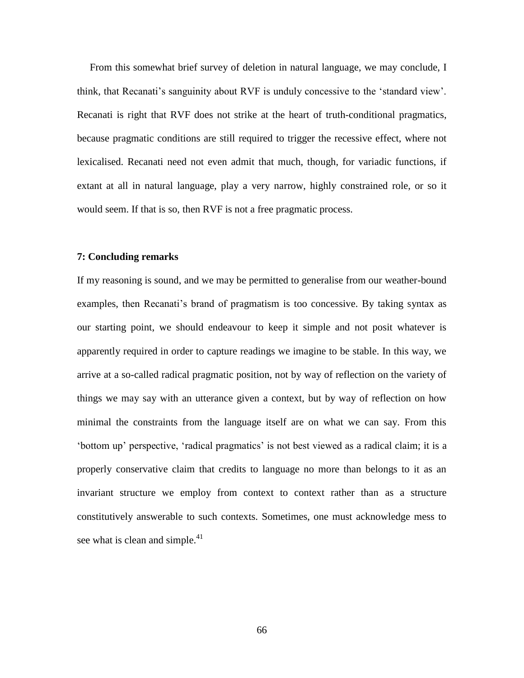From this somewhat brief survey of deletion in natural language, we may conclude, I think, that Recanati's sanguinity about RVF is unduly concessive to the 'standard view'. Recanati is right that RVF does not strike at the heart of truth-conditional pragmatics, because pragmatic conditions are still required to trigger the recessive effect, where not lexicalised. Recanati need not even admit that much, though, for variadic functions, if extant at all in natural language, play a very narrow, highly constrained role, or so it would seem. If that is so, then RVF is not a free pragmatic process.

# **7: Concluding remarks**

If my reasoning is sound, and we may be permitted to generalise from our weather-bound examples, then Recanati's brand of pragmatism is too concessive. By taking syntax as our starting point, we should endeavour to keep it simple and not posit whatever is apparently required in order to capture readings we imagine to be stable. In this way, we arrive at a so-called radical pragmatic position, not by way of reflection on the variety of things we may say with an utterance given a context, but by way of reflection on how minimal the constraints from the language itself are on what we can say. From this 'bottom up' perspective, 'radical pragmatics' is not best viewed as a radical claim; it is a properly conservative claim that credits to language no more than belongs to it as an invariant structure we employ from context to context rather than as a structure constitutively answerable to such contexts. Sometimes, one must acknowledge mess to see what is clean and simple.<sup>41</sup>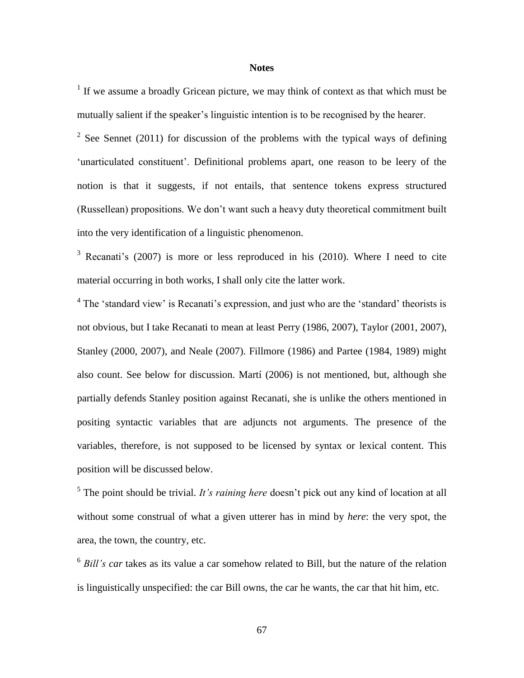#### **Notes**

<sup>1</sup> If we assume a broadly Gricean picture, we may think of context as that which must be mutually salient if the speaker's linguistic intention is to be recognised by the hearer.

<sup>2</sup> See Sennet (2011) for discussion of the problems with the typical ways of defining 'unarticulated constituent'. Definitional problems apart, one reason to be leery of the notion is that it suggests, if not entails, that sentence tokens express structured (Russellean) propositions. We don't want such a heavy duty theoretical commitment built into the very identification of a linguistic phenomenon.

<sup>3</sup> Recanati's (2007) is more or less reproduced in his (2010). Where I need to cite material occurring in both works, I shall only cite the latter work.

<sup>4</sup> The 'standard view' is Recanati's expression, and just who are the 'standard' theorists is not obvious, but I take Recanati to mean at least Perry (1986, 2007), Taylor (2001, 2007), Stanley (2000, 2007), and Neale (2007). Fillmore (1986) and Partee (1984, 1989) might also count. See below for discussion. Martí (2006) is not mentioned, but, although she partially defends Stanley position against Recanati, she is unlike the others mentioned in positing syntactic variables that are adjuncts not arguments. The presence of the variables, therefore, is not supposed to be licensed by syntax or lexical content. This position will be discussed below.

<sup>5</sup> The point should be trivial. *It's raining here* doesn't pick out any kind of location at all without some construal of what a given utterer has in mind by *here*: the very spot, the area, the town, the country, etc.

6 *Bill's car* takes as its value a car somehow related to Bill, but the nature of the relation is linguistically unspecified: the car Bill owns, the car he wants, the car that hit him, etc.

67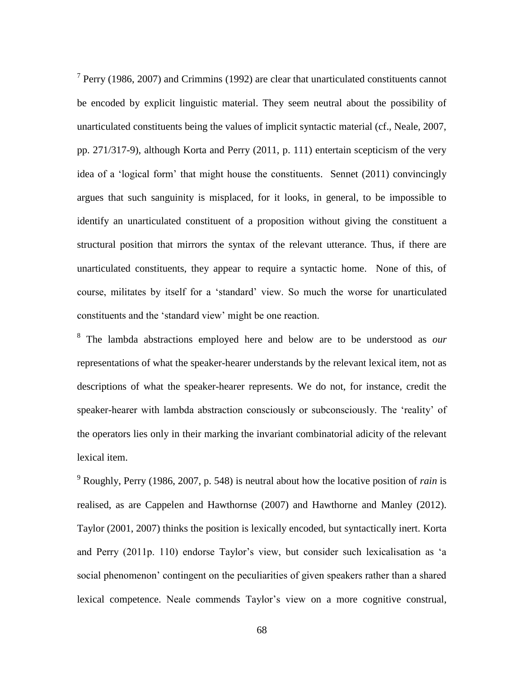$7$  Perry (1986, 2007) and Crimmins (1992) are clear that unarticulated constituents cannot be encoded by explicit linguistic material. They seem neutral about the possibility of unarticulated constituents being the values of implicit syntactic material (cf., Neale, 2007, pp. 271/317-9), although Korta and Perry (2011, p. 111) entertain scepticism of the very idea of a 'logical form' that might house the constituents. Sennet (2011) convincingly argues that such sanguinity is misplaced, for it looks, in general, to be impossible to identify an unarticulated constituent of a proposition without giving the constituent a structural position that mirrors the syntax of the relevant utterance. Thus, if there are unarticulated constituents, they appear to require a syntactic home. None of this, of course, militates by itself for a 'standard' view. So much the worse for unarticulated constituents and the 'standard view' might be one reaction.

8 The lambda abstractions employed here and below are to be understood as *our* representations of what the speaker-hearer understands by the relevant lexical item, not as descriptions of what the speaker-hearer represents. We do not, for instance, credit the speaker-hearer with lambda abstraction consciously or subconsciously. The 'reality' of the operators lies only in their marking the invariant combinatorial adicity of the relevant lexical item.

<sup>9</sup> Roughly, Perry (1986, 2007, p. 548) is neutral about how the locative position of *rain* is realised, as are Cappelen and Hawthornse (2007) and Hawthorne and Manley (2012). Taylor (2001, 2007) thinks the position is lexically encoded, but syntactically inert. Korta and Perry (2011p. 110) endorse Taylor's view, but consider such lexicalisation as 'a social phenomenon' contingent on the peculiarities of given speakers rather than a shared lexical competence. Neale commends Taylor's view on a more cognitive construal,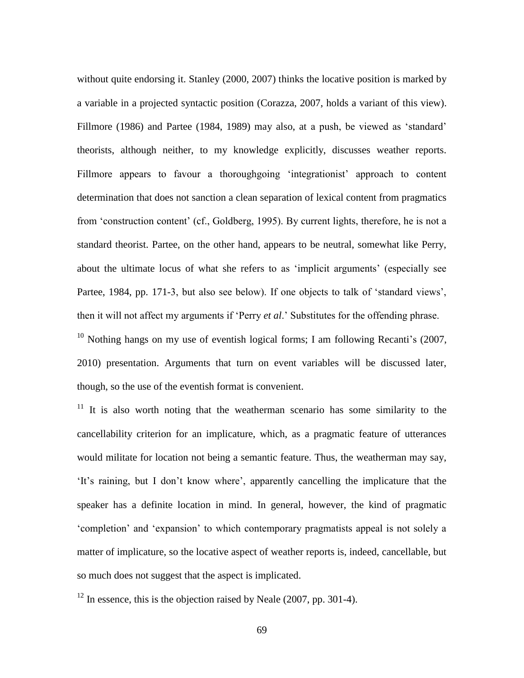without quite endorsing it. Stanley (2000, 2007) thinks the locative position is marked by a variable in a projected syntactic position (Corazza, 2007, holds a variant of this view). Fillmore (1986) and Partee (1984, 1989) may also, at a push, be viewed as 'standard' theorists, although neither, to my knowledge explicitly, discusses weather reports. Fillmore appears to favour a thoroughgoing 'integrationist' approach to content determination that does not sanction a clean separation of lexical content from pragmatics from 'construction content' (cf., Goldberg, 1995). By current lights, therefore, he is not a standard theorist. Partee, on the other hand, appears to be neutral, somewhat like Perry, about the ultimate locus of what she refers to as 'implicit arguments' (especially see Partee, 1984, pp. 171-3, but also see below). If one objects to talk of 'standard views', then it will not affect my arguments if 'Perry *et al*.' Substitutes for the offending phrase.  $10$  Nothing hangs on my use of eventish logical forms; I am following Recanti's (2007, 2010) presentation. Arguments that turn on event variables will be discussed later, though, so the use of the eventish format is convenient.

 $11$  It is also worth noting that the weatherman scenario has some similarity to the cancellability criterion for an implicature, which, as a pragmatic feature of utterances would militate for location not being a semantic feature. Thus, the weatherman may say, 'It's raining, but I don't know where', apparently cancelling the implicature that the speaker has a definite location in mind. In general, however, the kind of pragmatic 'completion' and 'expansion' to which contemporary pragmatists appeal is not solely a matter of implicature, so the locative aspect of weather reports is, indeed, cancellable, but so much does not suggest that the aspect is implicated.

 $12$  In essence, this is the objection raised by Neale (2007, pp. 301-4).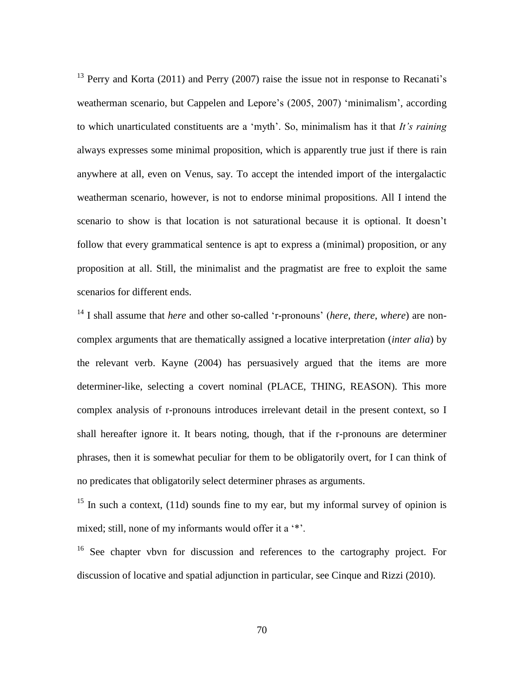$13$  Perry and Korta (2011) and Perry (2007) raise the issue not in response to Recanati's weatherman scenario, but Cappelen and Lepore's (2005, 2007) 'minimalism', according to which unarticulated constituents are a 'myth'. So, minimalism has it that *It's raining* always expresses some minimal proposition, which is apparently true just if there is rain anywhere at all, even on Venus, say. To accept the intended import of the intergalactic weatherman scenario, however, is not to endorse minimal propositions. All I intend the scenario to show is that location is not saturational because it is optional. It doesn't follow that every grammatical sentence is apt to express a (minimal) proposition, or any proposition at all. Still, the minimalist and the pragmatist are free to exploit the same scenarios for different ends.

<sup>14</sup> I shall assume that *here* and other so-called 'r-pronouns' (*here*, *there*, *where*) are noncomplex arguments that are thematically assigned a locative interpretation (*inter alia*) by the relevant verb. Kayne (2004) has persuasively argued that the items are more determiner-like, selecting a covert nominal (PLACE, THING, REASON). This more complex analysis of r-pronouns introduces irrelevant detail in the present context, so I shall hereafter ignore it. It bears noting, though, that if the r-pronouns are determiner phrases, then it is somewhat peculiar for them to be obligatorily overt, for I can think of no predicates that obligatorily select determiner phrases as arguments.

 $15$  In such a context, (11d) sounds fine to my ear, but my informal survey of opinion is mixed; still, none of my informants would offer it a '\*'.

<sup>16</sup> See chapter vbyn for discussion and references to the cartography project. For discussion of locative and spatial adjunction in particular, see Cinque and Rizzi (2010).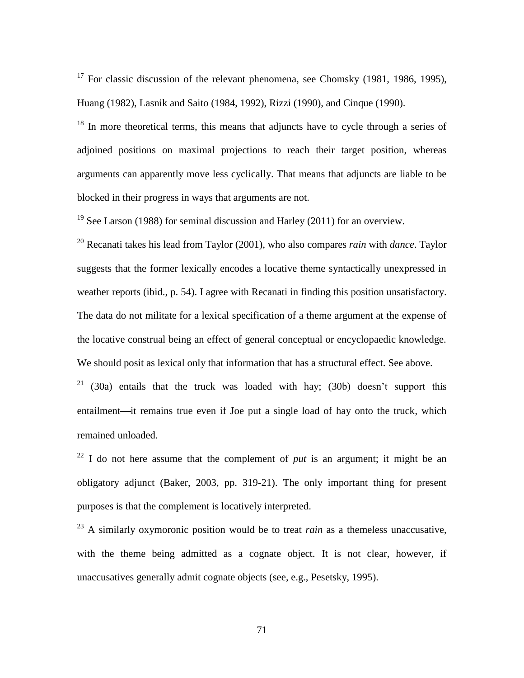$17$  For classic discussion of the relevant phenomena, see Chomsky (1981, 1986, 1995), Huang (1982), Lasnik and Saito (1984, 1992), Rizzi (1990), and Cinque (1990).

<sup>18</sup> In more theoretical terms, this means that adjuncts have to cycle through a series of adjoined positions on maximal projections to reach their target position, whereas arguments can apparently move less cyclically. That means that adjuncts are liable to be blocked in their progress in ways that arguments are not.

<sup>19</sup> See Larson (1988) for seminal discussion and Harley (2011) for an overview.

<sup>20</sup> Recanati takes his lead from Taylor (2001), who also compares *rain* with *dance*. Taylor suggests that the former lexically encodes a locative theme syntactically unexpressed in weather reports (ibid., p. 54). I agree with Recanati in finding this position unsatisfactory. The data do not militate for a lexical specification of a theme argument at the expense of the locative construal being an effect of general conceptual or encyclopaedic knowledge. We should posit as lexical only that information that has a structural effect. See above.

<sup>21</sup> (30a) entails that the truck was loaded with hay; (30b) doesn't support this entailment—it remains true even if Joe put a single load of hay onto the truck, which remained unloaded.

 $22 \text{ I}$  do not here assume that the complement of *put* is an argument; it might be an obligatory adjunct (Baker, 2003, pp. 319-21). The only important thing for present purposes is that the complement is locatively interpreted.

<sup>23</sup> A similarly oxymoronic position would be to treat *rain* as a themeless unaccusative, with the theme being admitted as a cognate object. It is not clear, however, if unaccusatives generally admit cognate objects (see, e.g., Pesetsky, 1995).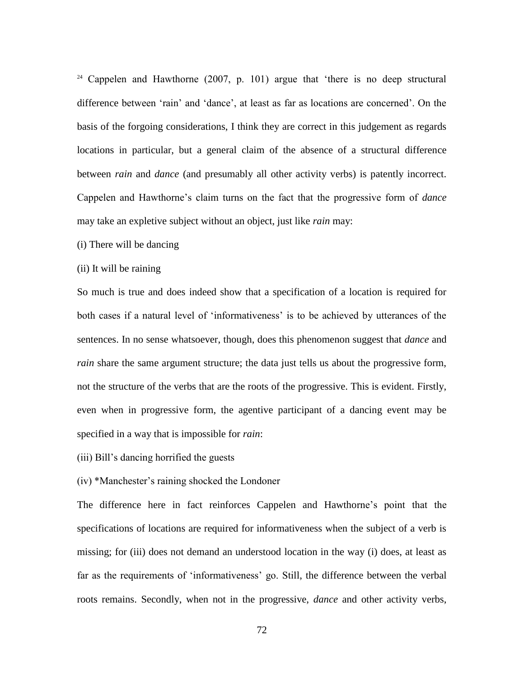$24$  Cappelen and Hawthorne (2007, p. 101) argue that 'there is no deep structural difference between 'rain' and 'dance', at least as far as locations are concerned'. On the basis of the forgoing considerations, I think they are correct in this judgement as regards locations in particular, but a general claim of the absence of a structural difference between *rain* and *dance* (and presumably all other activity verbs) is patently incorrect. Cappelen and Hawthorne's claim turns on the fact that the progressive form of *dance* may take an expletive subject without an object, just like *rain* may:

(i) There will be dancing

(ii) It will be raining

So much is true and does indeed show that a specification of a location is required for both cases if a natural level of 'informativeness' is to be achieved by utterances of the sentences. In no sense whatsoever, though, does this phenomenon suggest that *dance* and *rain* share the same argument structure; the data just tells us about the progressive form, not the structure of the verbs that are the roots of the progressive. This is evident. Firstly, even when in progressive form, the agentive participant of a dancing event may be specified in a way that is impossible for *rain*:

- (iii) Bill's dancing horrified the guests
- (iv) \*Manchester's raining shocked the Londoner

The difference here in fact reinforces Cappelen and Hawthorne's point that the specifications of locations are required for informativeness when the subject of a verb is missing; for (iii) does not demand an understood location in the way (i) does, at least as far as the requirements of 'informativeness' go. Still, the difference between the verbal roots remains. Secondly, when not in the progressive, *dance* and other activity verbs,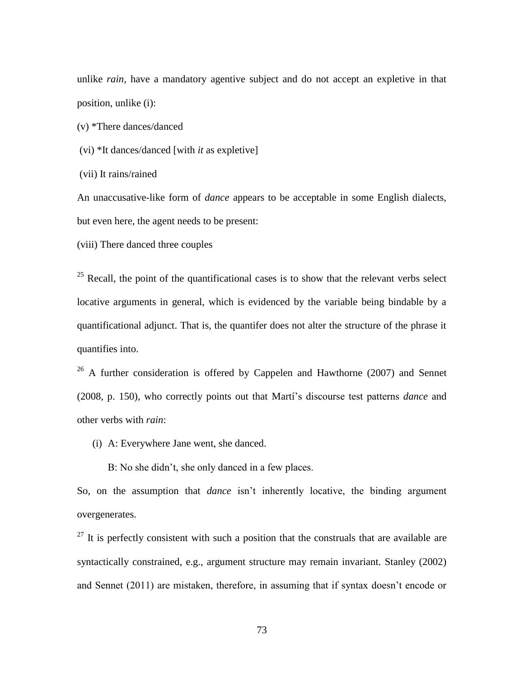unlike *rain*, have a mandatory agentive subject and do not accept an expletive in that position, unlike (i):

(v) \*There dances/danced

(vi) \*It dances/danced [with *it* as expletive]

(vii) It rains/rained

An unaccusative-like form of *dance* appears to be acceptable in some English dialects, but even here, the agent needs to be present:

(viii) There danced three couples

 $25$  Recall, the point of the quantificational cases is to show that the relevant verbs select locative arguments in general, which is evidenced by the variable being bindable by a quantificational adjunct. That is, the quantifer does not alter the structure of the phrase it quantifies into.

 $26$  A further consideration is offered by Cappelen and Hawthorne (2007) and Sennet (2008, p. 150), who correctly points out that Martí's discourse test patterns *dance* and other verbs with *rain*:

(i) A: Everywhere Jane went, she danced.

B: No she didn't, she only danced in a few places.

So, on the assumption that *dance* isn't inherently locative, the binding argument overgenerates.

 $27$  It is perfectly consistent with such a position that the construals that are available are syntactically constrained, e.g., argument structure may remain invariant. Stanley (2002) and Sennet (2011) are mistaken, therefore, in assuming that if syntax doesn't encode or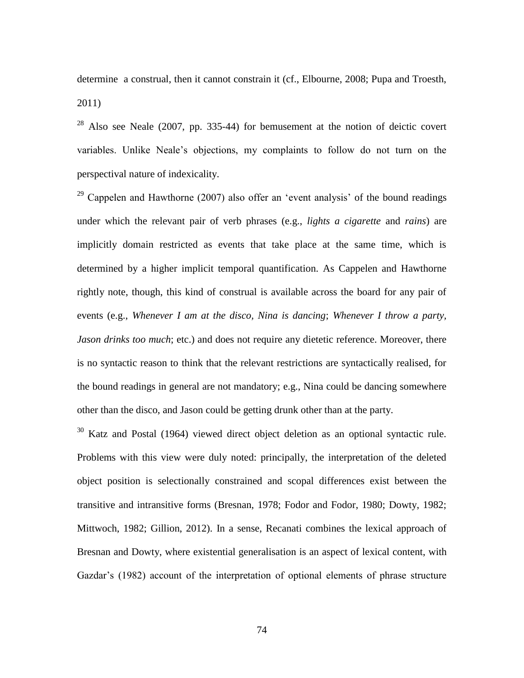determine a construal, then it cannot constrain it (cf., Elbourne, 2008; Pupa and Troesth, 2011)

 $^{28}$  Also see Neale (2007, pp. 335-44) for bemusement at the notion of deictic covert variables. Unlike Neale's objections, my complaints to follow do not turn on the perspectival nature of indexicality.

 $29$  Cappelen and Hawthorne (2007) also offer an 'event analysis' of the bound readings under which the relevant pair of verb phrases (e.g., *lights a cigarette* and *rains*) are implicitly domain restricted as events that take place at the same time, which is determined by a higher implicit temporal quantification. As Cappelen and Hawthorne rightly note, though, this kind of construal is available across the board for any pair of events (e.g., *Whenever I am at the disco, Nina is dancing*; *Whenever I throw a party, Jason drinks too much*; etc.) and does not require any dietetic reference. Moreover, there is no syntactic reason to think that the relevant restrictions are syntactically realised, for the bound readings in general are not mandatory; e.g., Nina could be dancing somewhere other than the disco, and Jason could be getting drunk other than at the party.

<sup>30</sup> Katz and Postal (1964) viewed direct object deletion as an optional syntactic rule. Problems with this view were duly noted: principally, the interpretation of the deleted object position is selectionally constrained and scopal differences exist between the transitive and intransitive forms (Bresnan, 1978; Fodor and Fodor, 1980; Dowty, 1982; Mittwoch, 1982; Gillion, 2012). In a sense, Recanati combines the lexical approach of Bresnan and Dowty, where existential generalisation is an aspect of lexical content, with Gazdar's (1982) account of the interpretation of optional elements of phrase structure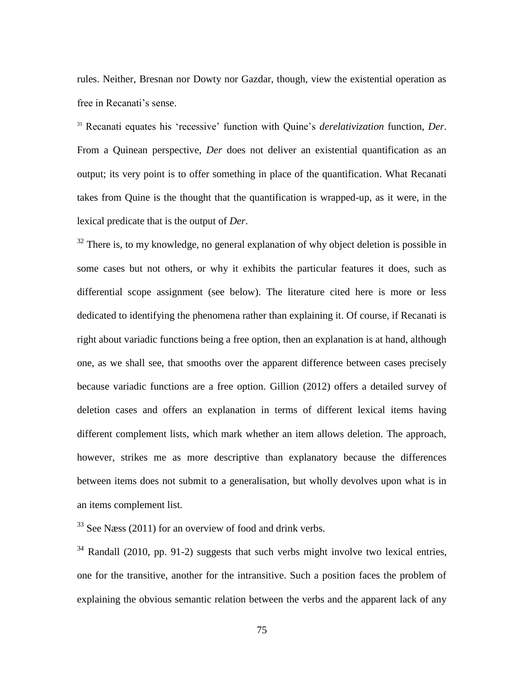rules. Neither, Bresnan nor Dowty nor Gazdar, though, view the existential operation as free in Recanati's sense.

<sup>31</sup> Recanati equates his 'recessive' function with Quine's *derelativization* function, *Der*. From a Quinean perspective, *Der* does not deliver an existential quantification as an output; its very point is to offer something in place of the quantification. What Recanati takes from Quine is the thought that the quantification is wrapped-up, as it were, in the lexical predicate that is the output of *Der*.

 $32$  There is, to my knowledge, no general explanation of why object deletion is possible in some cases but not others, or why it exhibits the particular features it does, such as differential scope assignment (see below). The literature cited here is more or less dedicated to identifying the phenomena rather than explaining it. Of course, if Recanati is right about variadic functions being a free option, then an explanation is at hand, although one, as we shall see, that smooths over the apparent difference between cases precisely because variadic functions are a free option. Gillion (2012) offers a detailed survey of deletion cases and offers an explanation in terms of different lexical items having different complement lists, which mark whether an item allows deletion. The approach, however, strikes me as more descriptive than explanatory because the differences between items does not submit to a generalisation, but wholly devolves upon what is in an items complement list.

<sup>33</sup> See Næss (2011) for an overview of food and drink verbs.

 $34$  Randall (2010, pp. 91-2) suggests that such verbs might involve two lexical entries, one for the transitive, another for the intransitive. Such a position faces the problem of explaining the obvious semantic relation between the verbs and the apparent lack of any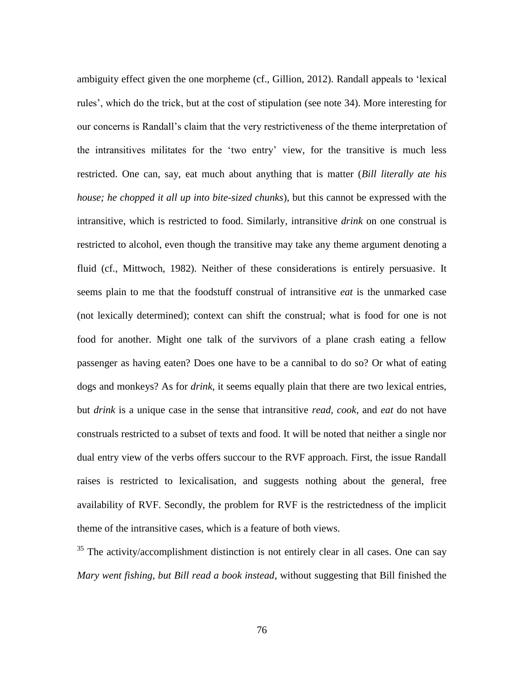ambiguity effect given the one morpheme (cf., Gillion, 2012). Randall appeals to 'lexical rules', which do the trick, but at the cost of stipulation (see note 34). More interesting for our concerns is Randall's claim that the very restrictiveness of the theme interpretation of the intransitives militates for the 'two entry' view, for the transitive is much less restricted. One can, say, eat much about anything that is matter (*Bill literally ate his house; he chopped it all up into bite-sized chunks*), but this cannot be expressed with the intransitive, which is restricted to food. Similarly, intransitive *drink* on one construal is restricted to alcohol, even though the transitive may take any theme argument denoting a fluid (cf., Mittwoch, 1982). Neither of these considerations is entirely persuasive. It seems plain to me that the foodstuff construal of intransitive *eat* is the unmarked case (not lexically determined); context can shift the construal; what is food for one is not food for another. Might one talk of the survivors of a plane crash eating a fellow passenger as having eaten? Does one have to be a cannibal to do so? Or what of eating dogs and monkeys? As for *drink*, it seems equally plain that there are two lexical entries, but *drink* is a unique case in the sense that intransitive *read*, *cook*, and *eat* do not have construals restricted to a subset of texts and food. It will be noted that neither a single nor dual entry view of the verbs offers succour to the RVF approach. First, the issue Randall raises is restricted to lexicalisation, and suggests nothing about the general, free availability of RVF. Secondly, the problem for RVF is the restrictedness of the implicit theme of the intransitive cases, which is a feature of both views.

 $35$  The activity/accomplishment distinction is not entirely clear in all cases. One can say *Mary went fishing, but Bill read a book instead*, without suggesting that Bill finished the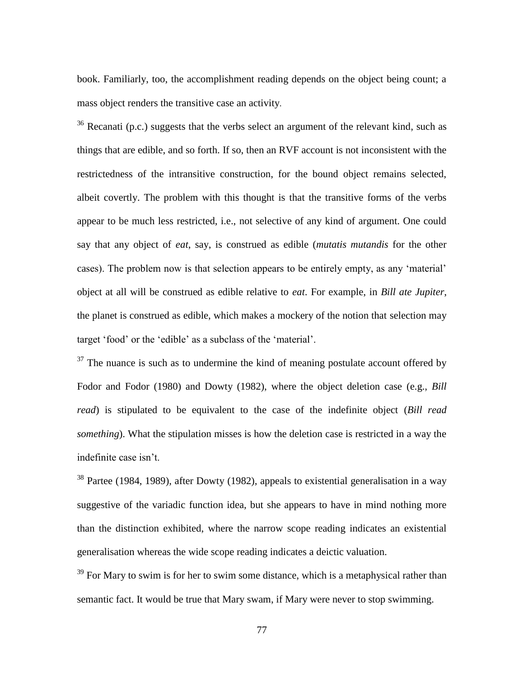book. Familiarly, too, the accomplishment reading depends on the object being count; a mass object renders the transitive case an activity.

 $36$  Recanati (p.c.) suggests that the verbs select an argument of the relevant kind, such as things that are edible, and so forth. If so, then an RVF account is not inconsistent with the restrictedness of the intransitive construction, for the bound object remains selected, albeit covertly. The problem with this thought is that the transitive forms of the verbs appear to be much less restricted, i.e., not selective of any kind of argument. One could say that any object of *eat*, say, is construed as edible (*mutatis mutandis* for the other cases). The problem now is that selection appears to be entirely empty, as any 'material' object at all will be construed as edible relative to *eat*. For example, in *Bill ate Jupiter*, the planet is construed as edible, which makes a mockery of the notion that selection may target 'food' or the 'edible' as a subclass of the 'material'.

 $37$  The nuance is such as to undermine the kind of meaning postulate account offered by Fodor and Fodor (1980) and Dowty (1982), where the object deletion case (e.g., *Bill read*) is stipulated to be equivalent to the case of the indefinite object (*Bill read something*). What the stipulation misses is how the deletion case is restricted in a way the indefinite case isn't.

 $38$  Partee (1984, 1989), after Dowty (1982), appeals to existential generalisation in a way suggestive of the variadic function idea, but she appears to have in mind nothing more than the distinction exhibited, where the narrow scope reading indicates an existential generalisation whereas the wide scope reading indicates a deictic valuation.

 $39$  For Mary to swim is for her to swim some distance, which is a metaphysical rather than semantic fact. It would be true that Mary swam, if Mary were never to stop swimming.

77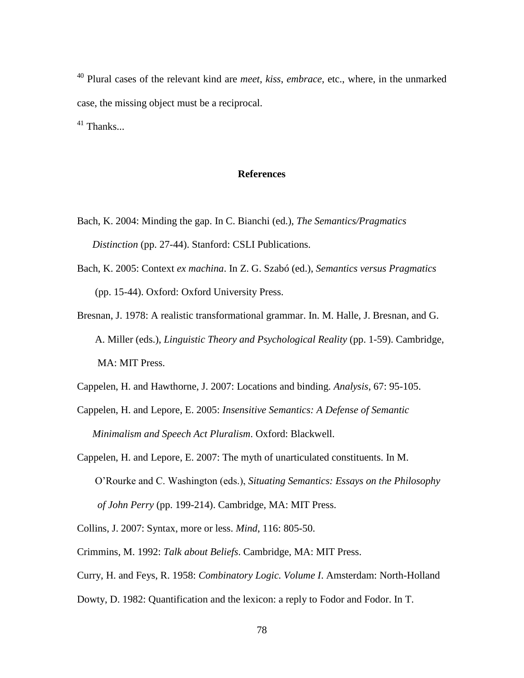<sup>40</sup> Plural cases of the relevant kind are *meet*, *kiss*, *embrace*, etc., where, in the unmarked case, the missing object must be a reciprocal. <sup>41</sup> Thanks...

## **References**

- Bach, K. 2004: Minding the gap. In C. Bianchi (ed.), *The Semantics/Pragmatics Distinction* (pp. 27-44). Stanford: CSLI Publications.
- Bach, K. 2005: Context *ex machina*. In Z. G. Szabó (ed.), *Semantics versus Pragmatics*  (pp. 15-44). Oxford: Oxford University Press.
- Bresnan, J. 1978: A realistic transformational grammar. In. M. Halle, J. Bresnan, and G. A. Miller (eds.), *Linguistic Theory and Psychological Reality* (pp. 1-59). Cambridge, MA: MIT Press.

Cappelen, H. and Hawthorne, J. 2007: Locations and binding. *Analysis*, 67: 95-105.

- Cappelen, H. and Lepore, E. 2005: *Insensitive Semantics: A Defense of Semantic Minimalism and Speech Act Pluralism*. Oxford: Blackwell.
- Cappelen, H. and Lepore, E. 2007: The myth of unarticulated constituents. In M. O'Rourke and C. Washington (eds.), *Situating Semantics: Essays on the Philosophy of John Perry* (pp. 199-214). Cambridge, MA: MIT Press.
- Collins, J. 2007: Syntax, more or less. *Mind*, 116: 805-50.
- Crimmins, M. 1992: *Talk about Beliefs*. Cambridge, MA: MIT Press.
- Curry, H. and Feys, R. 1958: *Combinatory Logic. Volume I*. Amsterdam: North-Holland
- Dowty, D. 1982: Quantification and the lexicon: a reply to Fodor and Fodor. In T.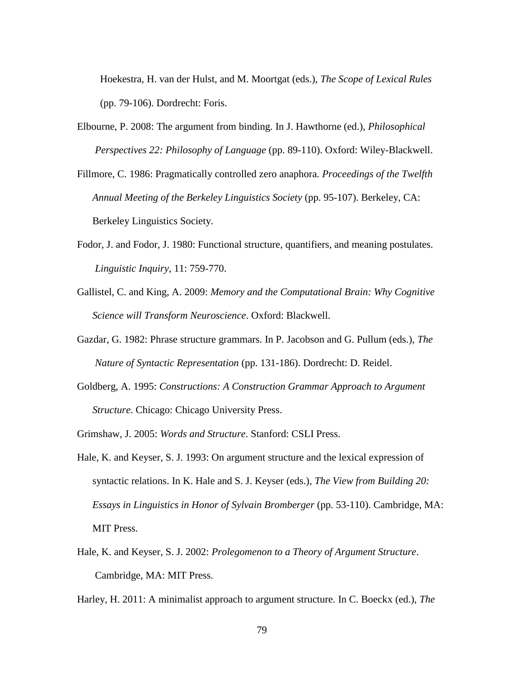Hoekestra, H. van der Hulst, and M. Moortgat (eds.), *The Scope of Lexical Rules* (pp. 79-106). Dordrecht: Foris.

- Elbourne, P. 2008: The argument from binding. In J. Hawthorne (ed.), *Philosophical Perspectives 22: Philosophy of Language* (pp. 89-110). Oxford: Wiley-Blackwell.
- Fillmore, C. 1986: Pragmatically controlled zero anaphora. *Proceedings of the Twelfth Annual Meeting of the Berkeley Linguistics Society* (pp. 95-107). Berkeley, CA: Berkeley Linguistics Society.
- Fodor, J. and Fodor, J. 1980: Functional structure, quantifiers, and meaning postulates. *Linguistic Inquiry*, 11: 759-770.
- Gallistel, C. and King, A. 2009: *Memory and the Computational Brain: Why Cognitive Science will Transform Neuroscience*. Oxford: Blackwell.
- Gazdar, G. 1982: Phrase structure grammars. In P. Jacobson and G. Pullum (eds.), *The Nature of Syntactic Representation* (pp. 131-186). Dordrecht: D. Reidel.
- Goldberg, A. 1995: *Constructions: A Construction Grammar Approach to Argument Structure*. Chicago: Chicago University Press.
- Grimshaw, J. 2005: *Words and Structure*. Stanford: CSLI Press.
- Hale, K. and Keyser, S. J. 1993: On argument structure and the lexical expression of syntactic relations. In K. Hale and S. J. Keyser (eds.), *The View from Building 20: Essays in Linguistics in Honor of Sylvain Bromberger* (pp. 53-110). Cambridge, MA: MIT Press.
- Hale, K. and Keyser, S. J. 2002: *Prolegomenon to a Theory of Argument Structure*. Cambridge, MA: MIT Press.

Harley, H. 2011: A minimalist approach to argument structure. In C. Boeckx (ed.), *The*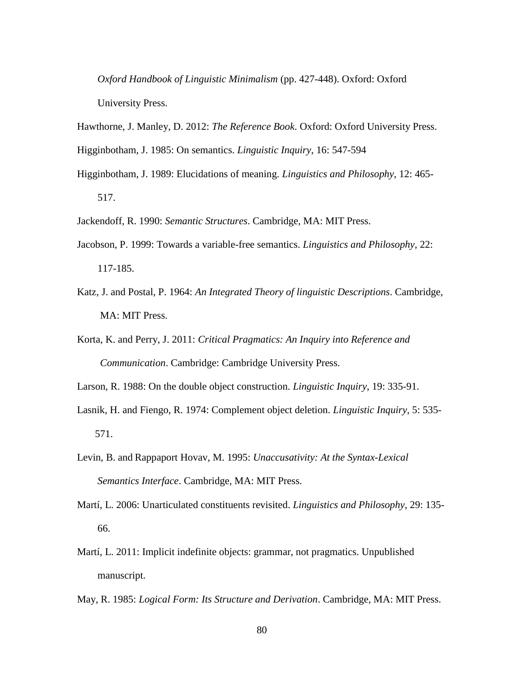*Oxford Handbook of Linguistic Minimalism* (pp. 427-448). Oxford: Oxford University Press.

- Hawthorne, J. Manley, D. 2012: *The Reference Book*. Oxford: Oxford University Press.
- Higginbotham, J. 1985: On semantics. *Linguistic Inquiry*, 16: 547-594
- Higginbotham, J. 1989: Elucidations of meaning. *Linguistics and Philosophy*, 12: 465- 517.
- Jackendoff, R. 1990: *Semantic Structures*. Cambridge, MA: MIT Press.
- Jacobson, P. 1999: Towards a variable-free semantics. *Linguistics and Philosophy*, 22: 117-185.
- Katz, J. and Postal, P. 1964: *An Integrated Theory of linguistic Descriptions*. Cambridge, MA: MIT Press.
- Korta, K. and Perry, J. 2011: *Critical Pragmatics: An Inquiry into Reference and Communication*. Cambridge: Cambridge University Press.

Larson, R. 1988: On the double object construction. *Linguistic Inquiry*, 19: 335-91.

- Lasnik, H. and Fiengo, R. 1974: Complement object deletion. *Linguistic Inquiry*, 5: 535- 571.
- Levin, B. and Rappaport Hovav, M. 1995: *Unaccusativity: At the Syntax-Lexical Semantics Interface*. Cambridge, MA: MIT Press.
- Martí, L. 2006: Unarticulated constituents revisited. *Linguistics and Philosophy*, 29: 135- 66.
- Martí, L. 2011: Implicit indefinite objects: grammar, not pragmatics. Unpublished manuscript.

May, R. 1985: *Logical Form: Its Structure and Derivation*. Cambridge, MA: MIT Press.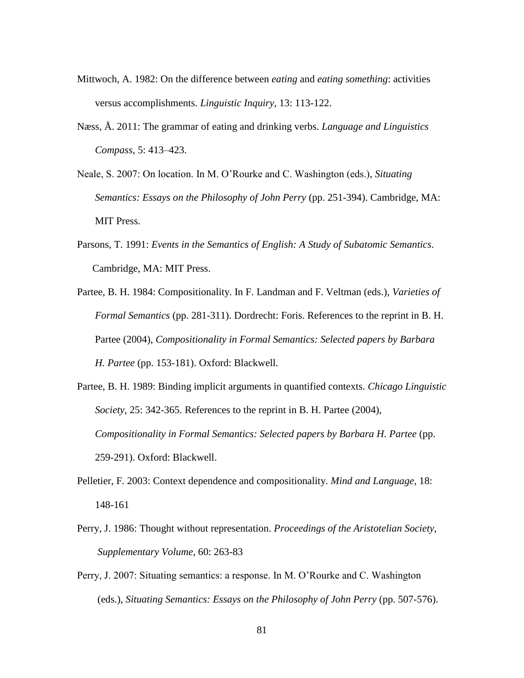- Mittwoch, A. 1982: On the difference between *eating* and *eating something*: activities versus accomplishments. *Linguistic Inquiry*, 13: 113-122.
- Næss, Å. 2011: The grammar of eating and drinking verbs. *Language and Linguistics Compass*, 5: 413–423.
- Neale, S. 2007: On location. In M. O'Rourke and C. Washington (eds.), *Situating Semantics: Essays on the Philosophy of John Perry* (pp. 251-394). Cambridge, MA: MIT Press.
- Parsons, T. 1991: *Events in the Semantics of English: A Study of Subatomic Semantics*. Cambridge, MA: MIT Press.
- Partee, B. H. 1984: Compositionality. In F. Landman and F. Veltman (eds.), *Varieties of Formal Semantics* (pp. 281-311). Dordrecht: Foris. References to the reprint in B. H. Partee (2004), *Compositionality in Formal Semantics: Selected papers by Barbara H. Partee* (pp. 153-181). Oxford: Blackwell.
- Partee, B. H. 1989: Binding implicit arguments in quantified contexts. *Chicago Linguistic Society*, 25: 342-365. References to the reprint in B. H. Partee (2004), *Compositionality in Formal Semantics: Selected papers by Barbara H. Partee* (pp. 259-291). Oxford: Blackwell.
- Pelletier, F. 2003: Context dependence and compositionality. *Mind and Language*, 18: 148-161
- Perry, J. 1986: Thought without representation. *Proceedings of the Aristotelian Society, Supplementary Volume*, 60: 263-83
- Perry, J. 2007: Situating semantics: a response. In M. O'Rourke and C. Washington (eds.), *Situating Semantics: Essays on the Philosophy of John Perry* (pp. 507-576).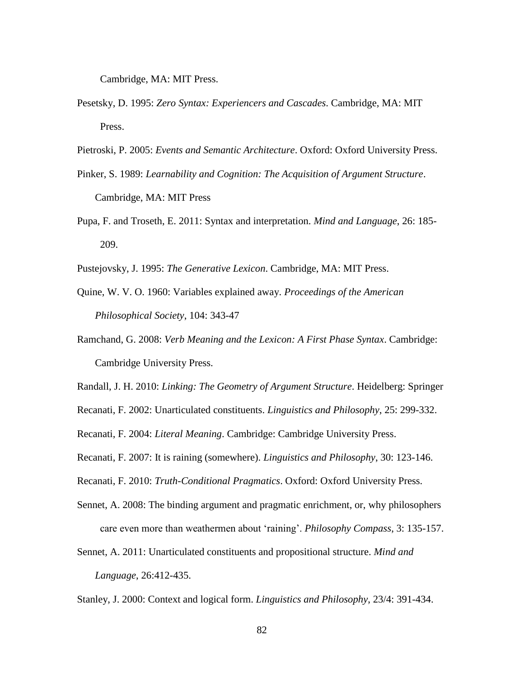Cambridge, MA: MIT Press.

- Pesetsky, D. 1995: *Zero Syntax: Experiencers and Cascades*. Cambridge, MA: MIT Press.
- Pietroski, P. 2005: *Events and Semantic Architecture*. Oxford: Oxford University Press.
- Pinker, S. 1989: *Learnability and Cognition: The Acquisition of Argument Structure*. Cambridge, MA: MIT Press
- Pupa, F. and Troseth, E. 2011: Syntax and interpretation. *Mind and Language*, 26: 185- 209.
- Pustejovsky, J. 1995: *The Generative Lexicon*. Cambridge, MA: MIT Press.
- Quine, W. V. O. 1960: Variables explained away. *Proceedings of the American Philosophical Society*, 104: 343-47
- Ramchand, G. 2008: *Verb Meaning and the Lexicon: A First Phase Syntax*. Cambridge: Cambridge University Press.

Randall, J. H. 2010: *Linking: The Geometry of Argument Structure*. Heidelberg: Springer

Recanati, F. 2002: Unarticulated constituents. *Linguistics and Philosophy*, 25: 299-332.

- Recanati, F. 2004: *Literal Meaning*. Cambridge: Cambridge University Press.
- Recanati, F. 2007: It is raining (somewhere). *Linguistics and Philosophy*, 30: 123-146.
- Recanati, F. 2010: *Truth-Conditional Pragmatics*. Oxford: Oxford University Press.
- Sennet, A. 2008: The binding argument and pragmatic enrichment, or, why philosophers care even more than weathermen about 'raining'. *Philosophy Compass*, 3: 135-157.
- Sennet, A. 2011: Unarticulated constituents and propositional structure. *Mind and Language*, 26:412-435.

Stanley, J. 2000: Context and logical form. *Linguistics and Philosophy*, 23/4: 391-434.